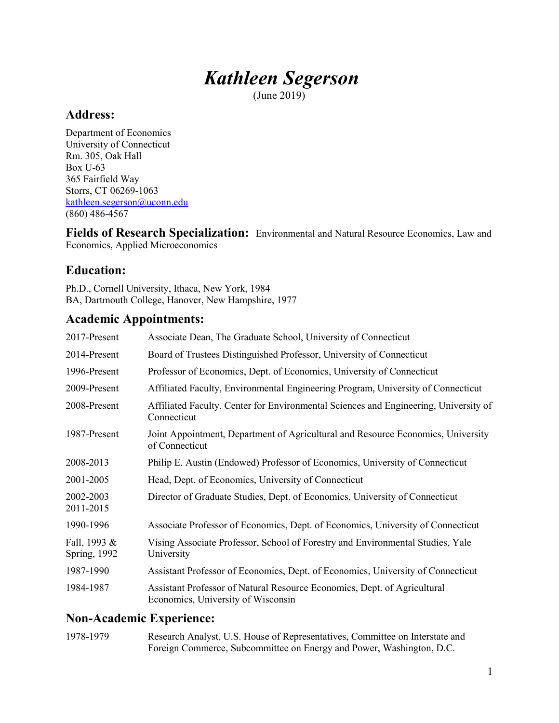# Kathleen Segerson

(June 2019)

## Address:

Department of Economics University of Connecticut Rm. 305, Oak Hall Box U-63 365 Fairfield Way Storrs, CT 06269-1063 kathleen.segerson@uconn.edu (860) 486-4567

Fields of Research Specialization: Environmental and Natural Resource Economics, Law and Economics, Applied Microeconomics

## Education:

Ph.D., Cornell University, Ithaca, New York, 1984 BA, Dartmouth College, Hanover, New Hampshire, 1977

## Academic Appointments:

| 2017-Present                         | Associate Dean, The Graduate School, University of Connecticut                                                 |
|--------------------------------------|----------------------------------------------------------------------------------------------------------------|
| 2014-Present                         | Board of Trustees Distinguished Professor, University of Connecticut                                           |
| 1996-Present                         | Professor of Economics, Dept. of Economics, University of Connecticut                                          |
| 2009-Present                         | Affiliated Faculty, Environmental Engineering Program, University of Connecticut                               |
| 2008-Present                         | Affiliated Faculty, Center for Environmental Sciences and Engineering, University of<br>Connecticut            |
| 1987-Present                         | Joint Appointment, Department of Agricultural and Resource Economics, University<br>of Connecticut             |
| 2008-2013                            | Philip E. Austin (Endowed) Professor of Economics, University of Connecticut                                   |
| 2001-2005                            | Head, Dept. of Economics, University of Connecticut                                                            |
| 2002-2003<br>2011-2015               | Director of Graduate Studies, Dept. of Economics, University of Connecticut                                    |
| 1990-1996                            | Associate Professor of Economics, Dept. of Economics, University of Connecticut                                |
| Fall, 1993 &<br><b>Spring</b> , 1992 | Vising Associate Professor, School of Forestry and Environmental Studies, Yale<br>University                   |
| 1987-1990                            | Assistant Professor of Economics, Dept. of Economics, University of Connecticut                                |
| 1984-1987                            | Assistant Professor of Natural Resource Economics, Dept. of Agricultural<br>Economics, University of Wisconsin |
|                                      |                                                                                                                |

## Non-Academic Experience:

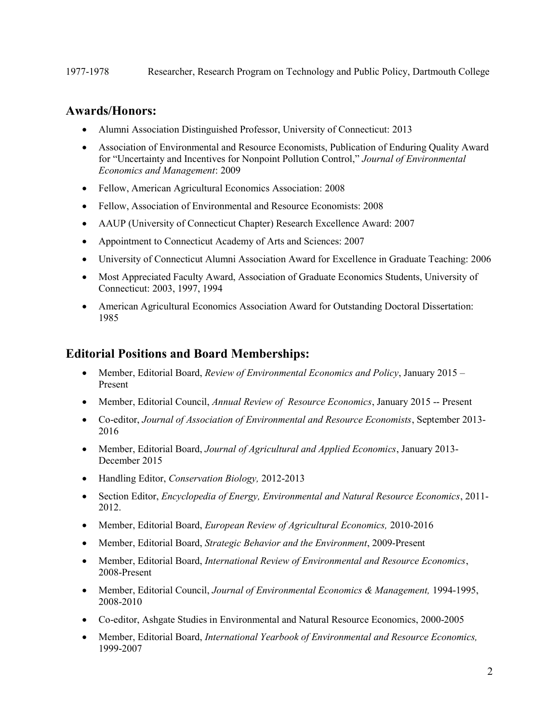### Awards/Honors:

- Alumni Association Distinguished Professor, University of Connecticut: 2013
- Association of Environmental and Resource Economists, Publication of Enduring Quality Award for "Uncertainty and Incentives for Nonpoint Pollution Control," Journal of Environmental Economics and Management: 2009
- Fellow, American Agricultural Economics Association: 2008
- Fellow, Association of Environmental and Resource Economists: 2008
- AAUP (University of Connecticut Chapter) Research Excellence Award: 2007
- Appointment to Connecticut Academy of Arts and Sciences: 2007
- University of Connecticut Alumni Association Award for Excellence in Graduate Teaching: 2006
- Most Appreciated Faculty Award, Association of Graduate Economics Students, University of Connecticut: 2003, 1997, 1994
- American Agricultural Economics Association Award for Outstanding Doctoral Dissertation: 1985

## Editorial Positions and Board Memberships:

- Member, Editorial Board, Review of Environmental Economics and Policy, January 2015 Present
- Member, Editorial Council, Annual Review of Resource Economics, January 2015 -- Present
- Co-editor, Journal of Association of Environmental and Resource Economists, September 2013- 2016
- Member, Editorial Board, *Journal of Agricultural and Applied Economics*, January 2013-December 2015
- Handling Editor, Conservation Biology, 2012-2013
- Section Editor, *Encyclopedia of Energy, Environmental and Natural Resource Economics*, 2011-2012.
- Member, Editorial Board, European Review of Agricultural Economics, 2010-2016
- Member, Editorial Board, *Strategic Behavior and the Environment*, 2009-Present
- Member, Editorial Board, International Review of Environmental and Resource Economics, 2008-Present
- Member, Editorial Council, Journal of Environmental Economics & Management, 1994-1995, 2008-2010
- Co-editor, Ashgate Studies in Environmental and Natural Resource Economics, 2000-2005
- Member, Editorial Board, International Yearbook of Environmental and Resource Economics, 1999-2007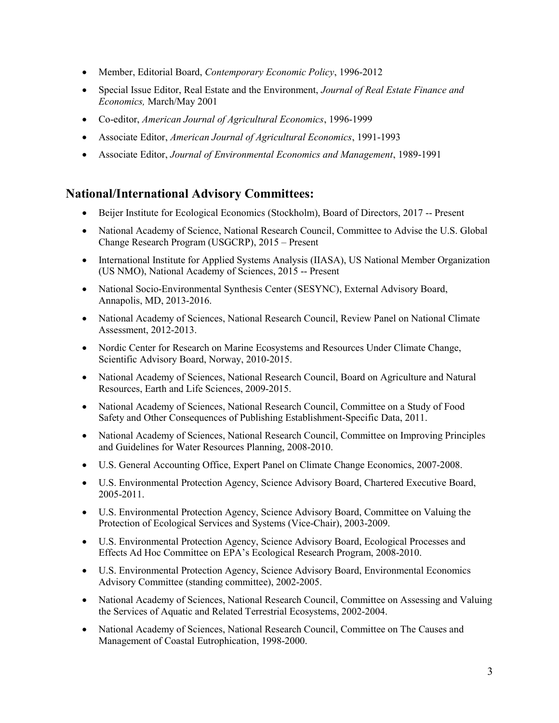- Member, Editorial Board, Contemporary Economic Policy, 1996-2012
- Special Issue Editor, Real Estate and the Environment, Journal of Real Estate Finance and Economics, March/May 2001
- Co-editor, American Journal of Agricultural Economics, 1996-1999
- Associate Editor, American Journal of Agricultural Economics, 1991-1993
- Associate Editor, Journal of Environmental Economics and Management, 1989-1991

## National/International Advisory Committees:

- Beijer Institute for Ecological Economics (Stockholm), Board of Directors, 2017 -- Present
- National Academy of Science, National Research Council, Committee to Advise the U.S. Global Change Research Program (USGCRP), 2015 – Present
- International Institute for Applied Systems Analysis (IIASA), US National Member Organization (US NMO), National Academy of Sciences, 2015 -- Present
- National Socio-Environmental Synthesis Center (SESYNC), External Advisory Board, Annapolis, MD, 2013-2016.
- National Academy of Sciences, National Research Council, Review Panel on National Climate Assessment, 2012-2013.
- Nordic Center for Research on Marine Ecosystems and Resources Under Climate Change, Scientific Advisory Board, Norway, 2010-2015.
- National Academy of Sciences, National Research Council, Board on Agriculture and Natural Resources, Earth and Life Sciences, 2009-2015.
- National Academy of Sciences, National Research Council, Committee on a Study of Food Safety and Other Consequences of Publishing Establishment-Specific Data, 2011.
- National Academy of Sciences, National Research Council, Committee on Improving Principles and Guidelines for Water Resources Planning, 2008-2010.
- U.S. General Accounting Office, Expert Panel on Climate Change Economics, 2007-2008.
- U.S. Environmental Protection Agency, Science Advisory Board, Chartered Executive Board, 2005-2011.
- U.S. Environmental Protection Agency, Science Advisory Board, Committee on Valuing the Protection of Ecological Services and Systems (Vice-Chair), 2003-2009.
- U.S. Environmental Protection Agency, Science Advisory Board, Ecological Processes and Effects Ad Hoc Committee on EPA's Ecological Research Program, 2008-2010.
- U.S. Environmental Protection Agency, Science Advisory Board, Environmental Economics Advisory Committee (standing committee), 2002-2005.
- National Academy of Sciences, National Research Council, Committee on Assessing and Valuing the Services of Aquatic and Related Terrestrial Ecosystems, 2002-2004.
- National Academy of Sciences, National Research Council, Committee on The Causes and Management of Coastal Eutrophication, 1998-2000.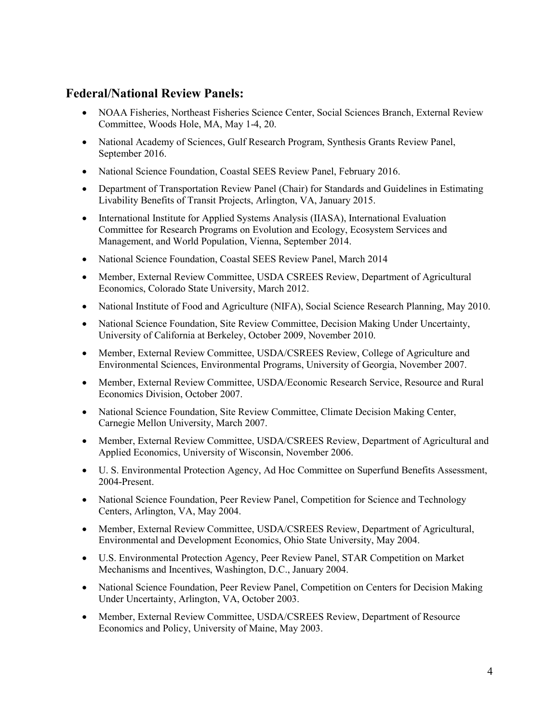## Federal/National Review Panels:

- NOAA Fisheries, Northeast Fisheries Science Center, Social Sciences Branch, External Review Committee, Woods Hole, MA, May 1-4, 20.
- National Academy of Sciences, Gulf Research Program, Synthesis Grants Review Panel, September 2016.
- National Science Foundation, Coastal SEES Review Panel, February 2016.
- Department of Transportation Review Panel (Chair) for Standards and Guidelines in Estimating Livability Benefits of Transit Projects, Arlington, VA, January 2015.
- International Institute for Applied Systems Analysis (IIASA), International Evaluation Committee for Research Programs on Evolution and Ecology, Ecosystem Services and Management, and World Population, Vienna, September 2014.
- National Science Foundation, Coastal SEES Review Panel, March 2014
- Member, External Review Committee, USDA CSREES Review, Department of Agricultural Economics, Colorado State University, March 2012.
- National Institute of Food and Agriculture (NIFA), Social Science Research Planning, May 2010.
- National Science Foundation, Site Review Committee, Decision Making Under Uncertainty, University of California at Berkeley, October 2009, November 2010.
- Member, External Review Committee, USDA/CSREES Review, College of Agriculture and Environmental Sciences, Environmental Programs, University of Georgia, November 2007.
- Member, External Review Committee, USDA/Economic Research Service, Resource and Rural Economics Division, October 2007.
- National Science Foundation, Site Review Committee, Climate Decision Making Center, Carnegie Mellon University, March 2007.
- Member, External Review Committee, USDA/CSREES Review, Department of Agricultural and Applied Economics, University of Wisconsin, November 2006.
- U. S. Environmental Protection Agency, Ad Hoc Committee on Superfund Benefits Assessment, 2004-Present.
- National Science Foundation, Peer Review Panel, Competition for Science and Technology Centers, Arlington, VA, May 2004.
- Member, External Review Committee, USDA/CSREES Review, Department of Agricultural, Environmental and Development Economics, Ohio State University, May 2004.
- U.S. Environmental Protection Agency, Peer Review Panel, STAR Competition on Market Mechanisms and Incentives, Washington, D.C., January 2004.
- National Science Foundation, Peer Review Panel, Competition on Centers for Decision Making Under Uncertainty, Arlington, VA, October 2003.
- Member, External Review Committee, USDA/CSREES Review, Department of Resource Economics and Policy, University of Maine, May 2003.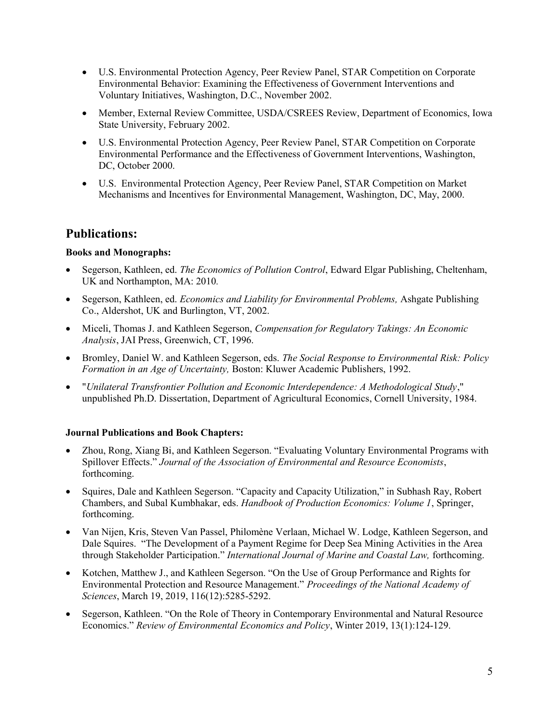- U.S. Environmental Protection Agency, Peer Review Panel, STAR Competition on Corporate Environmental Behavior: Examining the Effectiveness of Government Interventions and Voluntary Initiatives, Washington, D.C., November 2002.
- Member, External Review Committee, USDA/CSREES Review, Department of Economics, Iowa State University, February 2002.
- U.S. Environmental Protection Agency, Peer Review Panel, STAR Competition on Corporate Environmental Performance and the Effectiveness of Government Interventions, Washington, DC, October 2000.
- U.S. Environmental Protection Agency, Peer Review Panel, STAR Competition on Market Mechanisms and Incentives for Environmental Management, Washington, DC, May, 2000.

## Publications:

#### Books and Monographs:

- Segerson, Kathleen, ed. The Economics of Pollution Control, Edward Elgar Publishing, Cheltenham, UK and Northampton, MA: 2010.
- Segerson, Kathleen, ed. Economics and Liability for Environmental Problems, Ashgate Publishing Co., Aldershot, UK and Burlington, VT, 2002.
- Miceli, Thomas J. and Kathleen Segerson, Compensation for Regulatory Takings: An Economic Analysis, JAI Press, Greenwich, CT, 1996.
- Bromley, Daniel W. and Kathleen Segerson, eds. The Social Response to Environmental Risk: Policy Formation in an Age of Uncertainty, Boston: Kluwer Academic Publishers, 1992.
- "Unilateral Transfrontier Pollution and Economic Interdependence: A Methodological Study," unpublished Ph.D. Dissertation, Department of Agricultural Economics, Cornell University, 1984.

#### Journal Publications and Book Chapters:

- Zhou, Rong, Xiang Bi, and Kathleen Segerson. "Evaluating Voluntary Environmental Programs with Spillover Effects." Journal of the Association of Environmental and Resource Economists, forthcoming.
- Squires, Dale and Kathleen Segerson. "Capacity and Capacity Utilization," in Subhash Ray, Robert Chambers, and Subal Kumbhakar, eds. Handbook of Production Economics: Volume 1, Springer, forthcoming.
- Van Nijen, Kris, Steven Van Passel, Philomène Verlaan, Michael W. Lodge, Kathleen Segerson, and Dale Squires. "The Development of a Payment Regime for Deep Sea Mining Activities in the Area through Stakeholder Participation." International Journal of Marine and Coastal Law, forthcoming.
- Kotchen, Matthew J., and Kathleen Segerson. "On the Use of Group Performance and Rights for Environmental Protection and Resource Management." Proceedings of the National Academy of Sciences, March 19, 2019, 116(12):5285-5292.
- Segerson, Kathleen. "On the Role of Theory in Contemporary Environmental and Natural Resource Economics." Review of Environmental Economics and Policy, Winter 2019, 13(1):124-129.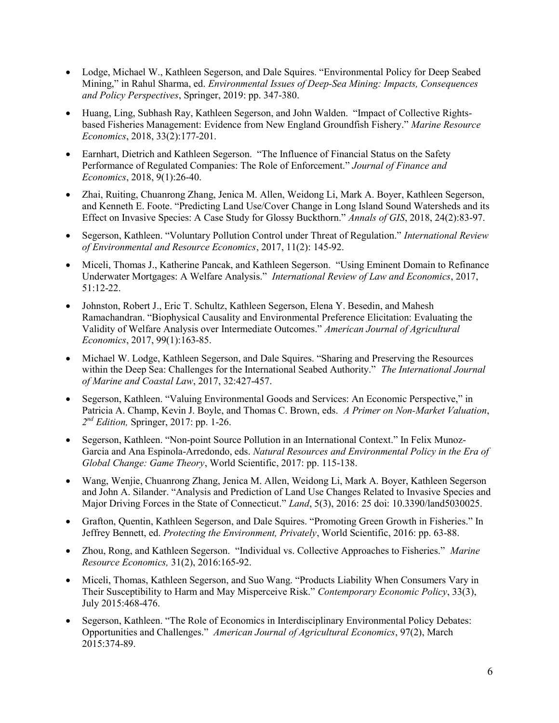- Lodge, Michael W., Kathleen Segerson, and Dale Squires. "Environmental Policy for Deep Seabed Mining," in Rahul Sharma, ed. Environmental Issues of Deep-Sea Mining: Impacts, Consequences and Policy Perspectives, Springer, 2019: pp. 347-380.
- Huang, Ling, Subhash Ray, Kathleen Segerson, and John Walden. "Impact of Collective Rightsbased Fisheries Management: Evidence from New England Groundfish Fishery." Marine Resource Economics, 2018, 33(2):177-201.
- Earnhart, Dietrich and Kathleen Segerson. "The Influence of Financial Status on the Safety Performance of Regulated Companies: The Role of Enforcement." Journal of Finance and Economics, 2018, 9(1):26-40.
- Zhai, Ruiting, Chuanrong Zhang, Jenica M. Allen, Weidong Li, Mark A. Boyer, Kathleen Segerson, and Kenneth E. Foote. "Predicting Land Use/Cover Change in Long Island Sound Watersheds and its Effect on Invasive Species: A Case Study for Glossy Buckthorn." Annals of GIS, 2018, 24(2):83-97.
- Segerson, Kathleen. "Voluntary Pollution Control under Threat of Regulation." International Review of Environmental and Resource Economics, 2017, 11(2): 145-92.
- Miceli, Thomas J., Katherine Pancak, and Kathleen Segerson. "Using Eminent Domain to Refinance Underwater Mortgages: A Welfare Analysis." International Review of Law and Economics, 2017, 51:12-22.
- Johnston, Robert J., Eric T. Schultz, Kathleen Segerson, Elena Y. Besedin, and Mahesh Ramachandran. "Biophysical Causality and Environmental Preference Elicitation: Evaluating the Validity of Welfare Analysis over Intermediate Outcomes." American Journal of Agricultural Economics, 2017, 99(1):163-85.
- Michael W. Lodge, Kathleen Segerson, and Dale Squires. "Sharing and Preserving the Resources within the Deep Sea: Challenges for the International Seabed Authority." The International Journal of Marine and Coastal Law, 2017, 32:427-457.
- Segerson, Kathleen. "Valuing Environmental Goods and Services: An Economic Perspective," in Patricia A. Champ, Kevin J. Boyle, and Thomas C. Brown, eds. A Primer on Non-Market Valuation,  $2^{nd}$  Edition, Springer, 2017: pp. 1-26.
- Segerson, Kathleen. "Non-point Source Pollution in an International Context." In Felix Munoz-Garcia and Ana Espinola-Arredondo, eds. Natural Resources and Environmental Policy in the Era of Global Change: Game Theory, World Scientific, 2017: pp. 115-138.
- Wang, Wenjie, Chuanrong Zhang, Jenica M. Allen, Weidong Li, Mark A. Boyer, Kathleen Segerson and John A. Silander. "Analysis and Prediction of Land Use Changes Related to Invasive Species and Major Driving Forces in the State of Connecticut." Land, 5(3), 2016: 25 doi: 10.3390/land5030025.
- Grafton, Quentin, Kathleen Segerson, and Dale Squires. "Promoting Green Growth in Fisheries." In Jeffrey Bennett, ed. Protecting the Environment, Privately, World Scientific, 2016: pp. 63-88.
- Zhou, Rong, and Kathleen Segerson. "Individual vs. Collective Approaches to Fisheries." Marine Resource Economics, 31(2), 2016:165-92.
- Miceli, Thomas, Kathleen Segerson, and Suo Wang. "Products Liability When Consumers Vary in Their Susceptibility to Harm and May Misperceive Risk." Contemporary Economic Policy, 33(3), July 2015:468-476.
- Segerson, Kathleen. "The Role of Economics in Interdisciplinary Environmental Policy Debates: Opportunities and Challenges." American Journal of Agricultural Economics, 97(2), March 2015:374-89.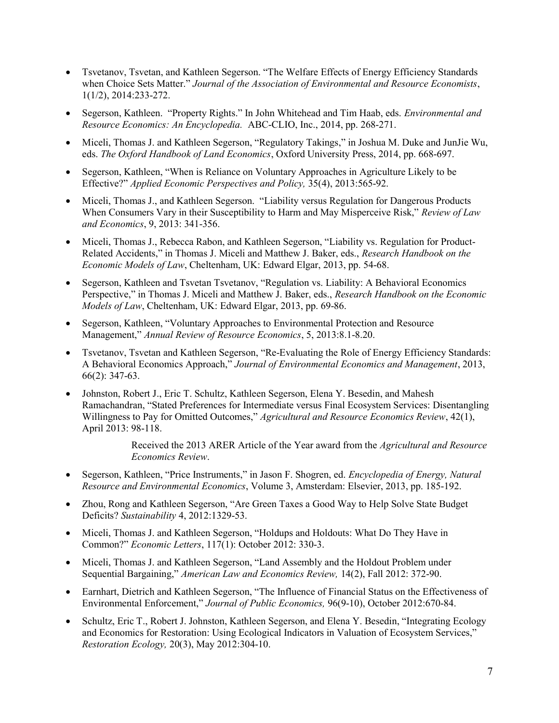- Tsvetanov, Tsvetan, and Kathleen Segerson. "The Welfare Effects of Energy Efficiency Standards when Choice Sets Matter." Journal of the Association of Environmental and Resource Economists, 1(1/2), 2014:233-272.
- Segerson, Kathleen. "Property Rights." In John Whitehead and Tim Haab, eds. Environmental and Resource Economics: An Encyclopedia. ABC-CLIO, Inc., 2014, pp. 268-271.
- Miceli, Thomas J. and Kathleen Segerson, "Regulatory Takings," in Joshua M. Duke and JunJie Wu, eds. The Oxford Handbook of Land Economics, Oxford University Press, 2014, pp. 668-697.
- Segerson, Kathleen, "When is Reliance on Voluntary Approaches in Agriculture Likely to be Effective?" Applied Economic Perspectives and Policy, 35(4), 2013:565-92.
- Miceli, Thomas J., and Kathleen Segerson. "Liability versus Regulation for Dangerous Products When Consumers Vary in their Susceptibility to Harm and May Misperceive Risk," Review of Law and Economics, 9, 2013: 341-356.
- Miceli, Thomas J., Rebecca Rabon, and Kathleen Segerson, "Liability vs. Regulation for Product-Related Accidents," in Thomas J. Miceli and Matthew J. Baker, eds., Research Handbook on the Economic Models of Law, Cheltenham, UK: Edward Elgar, 2013, pp. 54-68.
- Segerson, Kathleen and Tsvetan Tsvetanov, "Regulation vs. Liability: A Behavioral Economics Perspective," in Thomas J. Miceli and Matthew J. Baker, eds., Research Handbook on the Economic Models of Law, Cheltenham, UK: Edward Elgar, 2013, pp. 69-86.
- Segerson, Kathleen, "Voluntary Approaches to Environmental Protection and Resource Management," Annual Review of Resource Economics, 5, 2013:8.1-8.20.
- Tsvetanov, Tsvetan and Kathleen Segerson, "Re-Evaluating the Role of Energy Efficiency Standards: A Behavioral Economics Approach," Journal of Environmental Economics and Management, 2013, 66(2): 347-63.
- Johnston, Robert J., Eric T. Schultz, Kathleen Segerson, Elena Y. Besedin, and Mahesh Ramachandran, "Stated Preferences for Intermediate versus Final Ecosystem Services: Disentangling Willingness to Pay for Omitted Outcomes," Agricultural and Resource Economics Review, 42(1), April 2013: 98-118.

Received the 2013 ARER Article of the Year award from the Agricultural and Resource Economics Review.

- Segerson, Kathleen, "Price Instruments," in Jason F. Shogren, ed. Encyclopedia of Energy, Natural Resource and Environmental Economics, Volume 3, Amsterdam: Elsevier, 2013, pp. 185-192.
- Zhou, Rong and Kathleen Segerson, "Are Green Taxes a Good Way to Help Solve State Budget Deficits? Sustainability 4, 2012:1329-53.
- Miceli, Thomas J. and Kathleen Segerson, "Holdups and Holdouts: What Do They Have in Common?" Economic Letters, 117(1): October 2012: 330-3.
- Miceli, Thomas J. and Kathleen Segerson, "Land Assembly and the Holdout Problem under Sequential Bargaining," American Law and Economics Review, 14(2), Fall 2012: 372-90.
- Earnhart, Dietrich and Kathleen Segerson, "The Influence of Financial Status on the Effectiveness of Environmental Enforcement," Journal of Public Economics, 96(9-10), October 2012:670-84.
- Schultz, Eric T., Robert J. Johnston, Kathleen Segerson, and Elena Y. Besedin, "Integrating Ecology and Economics for Restoration: Using Ecological Indicators in Valuation of Ecosystem Services," Restoration Ecology, 20(3), May 2012:304-10.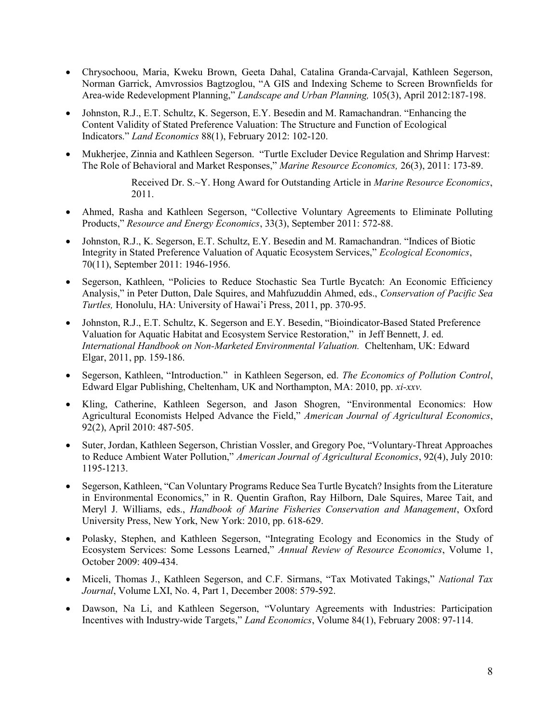- Chrysochoou, Maria, Kweku Brown, Geeta Dahal, Catalina Granda-Carvajal, Kathleen Segerson, Norman Garrick, Amvrossios Bagtzoglou, "A GIS and Indexing Scheme to Screen Brownfields for Area-wide Redevelopment Planning," Landscape and Urban Planning, 105(3), April 2012:187-198.
- Johnston, R.J., E.T. Schultz, K. Segerson, E.Y. Besedin and M. Ramachandran. "Enhancing the Content Validity of Stated Preference Valuation: The Structure and Function of Ecological Indicators." Land Economics 88(1), February 2012: 102-120.
- Mukherjee, Zinnia and Kathleen Segerson. "Turtle Excluder Device Regulation and Shrimp Harvest: The Role of Behavioral and Market Responses," Marine Resource Economics, 26(3), 2011: 173-89.

Received Dr. S.~Y. Hong Award for Outstanding Article in Marine Resource Economics, 2011.

- Ahmed, Rasha and Kathleen Segerson, "Collective Voluntary Agreements to Eliminate Polluting Products," Resource and Energy Economics, 33(3), September 2011: 572-88.
- Johnston, R.J., K. Segerson, E.T. Schultz, E.Y. Besedin and M. Ramachandran. "Indices of Biotic Integrity in Stated Preference Valuation of Aquatic Ecosystem Services," Ecological Economics, 70(11), September 2011: 1946-1956.
- Segerson, Kathleen, "Policies to Reduce Stochastic Sea Turtle Bycatch: An Economic Efficiency Analysis," in Peter Dutton, Dale Squires, and Mahfuzuddin Ahmed, eds., Conservation of Pacific Sea Turtles, Honolulu, HA: University of Hawai'i Press, 2011, pp. 370-95.
- Johnston, R.J., E.T. Schultz, K. Segerson and E.Y. Besedin, "Bioindicator-Based Stated Preference Valuation for Aquatic Habitat and Ecosystem Service Restoration," in Jeff Bennett, J. ed. International Handbook on Non-Marketed Environmental Valuation. Cheltenham, UK: Edward Elgar, 2011, pp. 159-186.
- Segerson, Kathleen, "Introduction." in Kathleen Segerson, ed. The Economics of Pollution Control, Edward Elgar Publishing, Cheltenham, UK and Northampton, MA: 2010, pp. xi-xxv.
- Kling, Catherine, Kathleen Segerson, and Jason Shogren, "Environmental Economics: How Agricultural Economists Helped Advance the Field," American Journal of Agricultural Economics, 92(2), April 2010: 487-505.
- Suter, Jordan, Kathleen Segerson, Christian Vossler, and Gregory Poe, "Voluntary-Threat Approaches to Reduce Ambient Water Pollution," American Journal of Agricultural Economics, 92(4), July 2010: 1195-1213.
- Segerson, Kathleen, "Can Voluntary Programs Reduce Sea Turtle Bycatch? Insights from the Literature in Environmental Economics," in R. Quentin Grafton, Ray Hilborn, Dale Squires, Maree Tait, and Meryl J. Williams, eds., Handbook of Marine Fisheries Conservation and Management, Oxford University Press, New York, New York: 2010, pp. 618-629.
- Polasky, Stephen, and Kathleen Segerson, "Integrating Ecology and Economics in the Study of Ecosystem Services: Some Lessons Learned," Annual Review of Resource Economics, Volume 1, October 2009: 409-434.
- Miceli, Thomas J., Kathleen Segerson, and C.F. Sirmans, "Tax Motivated Takings," National Tax Journal, Volume LXI, No. 4, Part 1, December 2008: 579-592.
- Dawson, Na Li, and Kathleen Segerson, "Voluntary Agreements with Industries: Participation Incentives with Industry-wide Targets," Land Economics, Volume 84(1), February 2008: 97-114.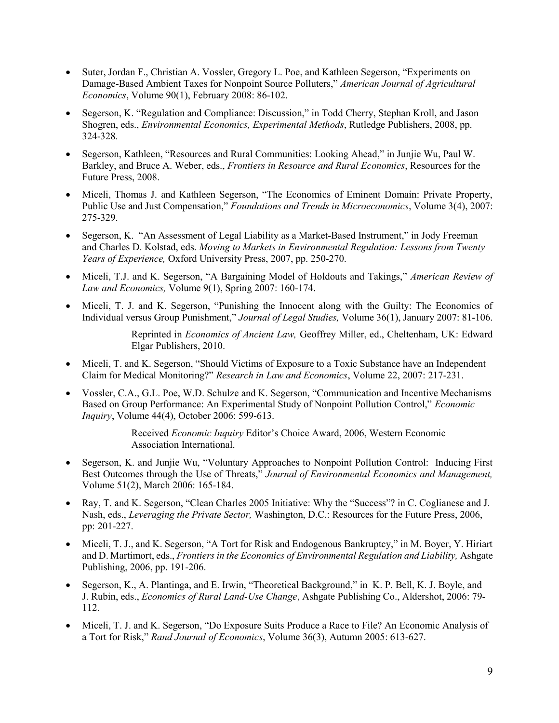- Suter, Jordan F., Christian A. Vossler, Gregory L. Poe, and Kathleen Segerson, "Experiments on Damage-Based Ambient Taxes for Nonpoint Source Polluters," American Journal of Agricultural Economics, Volume 90(1), February 2008: 86-102.
- Segerson, K. "Regulation and Compliance: Discussion," in Todd Cherry, Stephan Kroll, and Jason Shogren, eds., Environmental Economics, Experimental Methods, Rutledge Publishers, 2008, pp. 324-328.
- Segerson, Kathleen, "Resources and Rural Communities: Looking Ahead," in Junjie Wu, Paul W. Barkley, and Bruce A. Weber, eds., Frontiers in Resource and Rural Economics, Resources for the Future Press, 2008.
- Miceli, Thomas J. and Kathleen Segerson, "The Economics of Eminent Domain: Private Property, Public Use and Just Compensation," Foundations and Trends in Microeconomics, Volume 3(4), 2007: 275-329.
- Segerson, K. "An Assessment of Legal Liability as a Market-Based Instrument," in Jody Freeman and Charles D. Kolstad, eds. Moving to Markets in Environmental Regulation: Lessons from Twenty Years of Experience, Oxford University Press, 2007, pp. 250-270.
- Miceli, T.J. and K. Segerson, "A Bargaining Model of Holdouts and Takings," American Review of Law and Economics, Volume 9(1), Spring 2007: 160-174.
- Miceli, T. J. and K. Segerson, "Punishing the Innocent along with the Guilty: The Economics of Individual versus Group Punishment," Journal of Legal Studies, Volume 36(1), January 2007: 81-106.

Reprinted in Economics of Ancient Law, Geoffrey Miller, ed., Cheltenham, UK: Edward Elgar Publishers, 2010.

- Miceli, T. and K. Segerson, "Should Victims of Exposure to a Toxic Substance have an Independent Claim for Medical Monitoring?" Research in Law and Economics, Volume 22, 2007: 217-231.
- Vossler, C.A., G.L. Poe, W.D. Schulze and K. Segerson, "Communication and Incentive Mechanisms Based on Group Performance: An Experimental Study of Nonpoint Pollution Control," Economic Inquiry, Volume 44(4), October 2006: 599-613.

Received Economic Inquiry Editor's Choice Award, 2006, Western Economic Association International.

- Segerson, K. and Junjie Wu, "Voluntary Approaches to Nonpoint Pollution Control: Inducing First Best Outcomes through the Use of Threats," Journal of Environmental Economics and Management, Volume 51(2), March 2006: 165-184.
- Ray, T. and K. Segerson, "Clean Charles 2005 Initiative: Why the "Success"? in C. Coglianese and J. Nash, eds., Leveraging the Private Sector, Washington, D.C.: Resources for the Future Press, 2006, pp: 201-227.
- Miceli, T. J., and K. Segerson, "A Tort for Risk and Endogenous Bankruptcy," in M. Boyer, Y. Hiriart and D. Martimort, eds., *Frontiers in the Economics of Environmental Regulation and Liability*, Ashgate Publishing, 2006, pp. 191-206.
- Segerson, K., A. Plantinga, and E. Irwin, "Theoretical Background," in K. P. Bell, K. J. Boyle, and J. Rubin, eds., Economics of Rural Land-Use Change, Ashgate Publishing Co., Aldershot, 2006: 79- 112.
- Miceli, T. J. and K. Segerson, "Do Exposure Suits Produce a Race to File? An Economic Analysis of a Tort for Risk," Rand Journal of Economics, Volume 36(3), Autumn 2005: 613-627.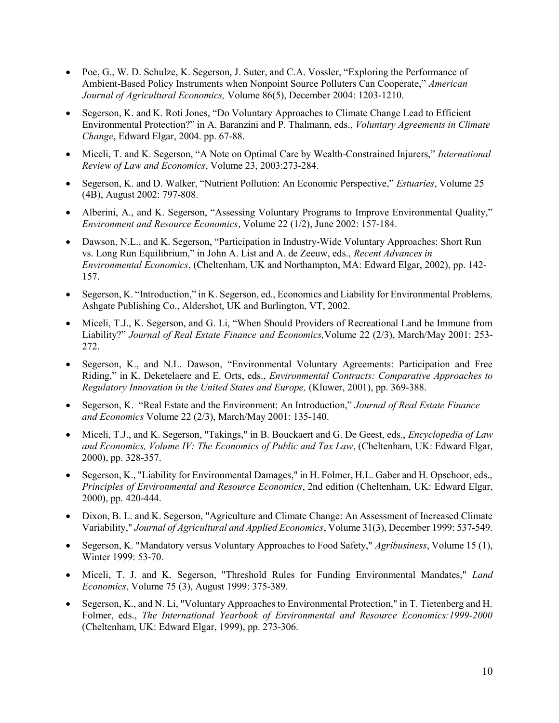- Poe, G., W. D. Schulze, K. Segerson, J. Suter, and C.A. Vossler, "Exploring the Performance of Ambient-Based Policy Instruments when Nonpoint Source Polluters Can Cooperate," American Journal of Agricultural Economics, Volume 86(5), December 2004: 1203-1210.
- Segerson, K. and K. Roti Jones, "Do Voluntary Approaches to Climate Change Lead to Efficient Environmental Protection?" in A. Baranzini and P. Thalmann, eds., Voluntary Agreements in Climate Change, Edward Elgar, 2004. pp. 67-88.
- Miceli, T. and K. Segerson, "A Note on Optimal Care by Wealth-Constrained Injurers," International Review of Law and Economics, Volume 23, 2003:273-284.
- Segerson, K. and D. Walker, "Nutrient Pollution: An Economic Perspective," *Estuaries*, Volume 25 (4B), August 2002: 797-808.
- Alberini, A., and K. Segerson, "Assessing Voluntary Programs to Improve Environmental Quality," Environment and Resource Economics, Volume 22 (1/2), June 2002: 157-184.
- Dawson, N.L., and K. Segerson, "Participation in Industry-Wide Voluntary Approaches: Short Run vs. Long Run Equilibrium," in John A. List and A. de Zeeuw, eds., Recent Advances in Environmental Economics, (Cheltenham, UK and Northampton, MA: Edward Elgar, 2002), pp. 142- 157.
- Segerson, K. "Introduction," in K. Segerson, ed., Economics and Liability for Environmental Problems, Ashgate Publishing Co., Aldershot, UK and Burlington, VT, 2002.
- Miceli, T.J., K. Segerson, and G. Li, "When Should Providers of Recreational Land be Immune from Liability?" Journal of Real Estate Finance and Economics, Volume 22 (2/3), March/May 2001: 253-272.
- Segerson, K., and N.L. Dawson, "Environmental Voluntary Agreements: Participation and Free Riding," in K. Deketelaere and E. Orts, eds., Environmental Contracts: Comparative Approaches to Regulatory Innovation in the United States and Europe, (Kluwer, 2001), pp. 369-388.
- Segerson, K. "Real Estate and the Environment: An Introduction," Journal of Real Estate Finance and Economics Volume 22 (2/3), March/May 2001: 135-140.
- Miceli, T.J., and K. Segerson, "Takings," in B. Bouckaert and G. De Geest, eds., *Encyclopedia of Law* and Economics, Volume IV: The Economics of Public and Tax Law, (Cheltenham, UK: Edward Elgar, 2000), pp. 328-357.
- Segerson, K., "Liability for Environmental Damages," in H. Folmer, H.L. Gaber and H. Opschoor, eds., Principles of Environmental and Resource Economics, 2nd edition (Cheltenham, UK: Edward Elgar, 2000), pp. 420-444.
- Dixon, B. L. and K. Segerson, "Agriculture and Climate Change: An Assessment of Increased Climate Variability," Journal of Agricultural and Applied Economics, Volume 31(3), December 1999: 537-549.
- Segerson, K. "Mandatory versus Voluntary Approaches to Food Safety," Agribusiness, Volume 15 (1), Winter 1999: 53-70.
- Miceli, T. J. and K. Segerson, "Threshold Rules for Funding Environmental Mandates," Land Economics, Volume 75 (3), August 1999: 375-389.
- Segerson, K., and N. Li, "Voluntary Approaches to Environmental Protection," in T. Tietenberg and H. Folmer, eds., The International Yearbook of Environmental and Resource Economics:1999-2000 (Cheltenham, UK: Edward Elgar, 1999), pp. 273-306.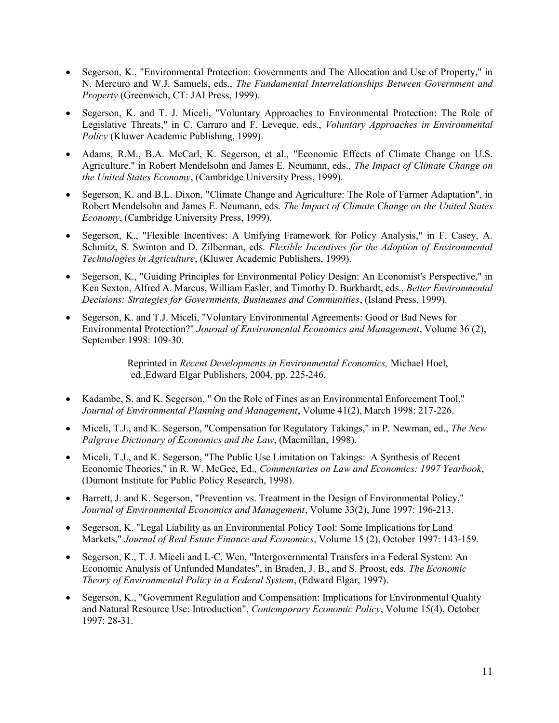- Segerson, K., "Environmental Protection: Governments and The Allocation and Use of Property," in N. Mercuro and W.J. Samuels, eds., The Fundamental Interrelationships Between Government and Property (Greenwich, CT: JAI Press, 1999).
- Segerson, K. and T. J. Miceli, "Voluntary Approaches to Environmental Protection: The Role of Legislative Threats," in C. Carraro and F. Leveque, eds., Voluntary Approaches in Environmental Policy (Kluwer Academic Publishing, 1999).
- Adams, R.M., B.A. McCarl, K. Segerson, et al., "Economic Effects of Climate Change on U.S. Agriculture," in Robert Mendelsohn and James E. Neumann, eds., The Impact of Climate Change on the United States Economy, (Cambridge University Press, 1999).
- Segerson, K. and B.L. Dixon, "Climate Change and Agriculture: The Role of Farmer Adaptation", in Robert Mendelsohn and James E. Neumann, eds. The Impact of Climate Change on the United States Economy, (Cambridge University Press, 1999).
- Segerson, K., "Flexible Incentives: A Unifying Framework for Policy Analysis," in F. Casey, A. Schmitz, S. Swinton and D. Zilberman, eds. Flexible Incentives for the Adoption of Environmental Technologies in Agriculture, (Kluwer Academic Publishers, 1999).
- Segerson, K., "Guiding Principles for Environmental Policy Design: An Economist's Perspective," in Ken Sexton, Alfred A. Marcus, William Easler, and Timothy D. Burkhardt, eds., Better Environmental Decisions: Strategies for Governments, Businesses and Communities, (Island Press, 1999).
- Segerson, K. and T.J. Miceli, "Voluntary Environmental Agreements: Good or Bad News for Environmental Protection?" Journal of Environmental Economics and Management, Volume 36 (2), September 1998: 109-30.

 Reprinted in Recent Developments in Environmental Economics, Michael Hoel, ed.,Edward Elgar Publishers, 2004, pp. 225-246.

- Kadambe, S. and K. Segerson, " On the Role of Fines as an Environmental Enforcement Tool," Journal of Environmental Planning and Management, Volume 41(2), March 1998: 217-226.
- Miceli, T.J., and K. Segerson, "Compensation for Regulatory Takings," in P. Newman, ed., The New Palgrave Dictionary of Economics and the Law, (Macmillan, 1998).
- Miceli, T.J., and K. Segerson, "The Public Use Limitation on Takings: A Synthesis of Recent Economic Theories," in R. W. McGee, Ed., Commentaries on Law and Economics: 1997 Yearbook, (Dumont Institute for Public Policy Research, 1998).
- Barrett, J. and K. Segerson, "Prevention vs. Treatment in the Design of Environmental Policy," Journal of Environmental Economics and Management, Volume 33(2), June 1997: 196-213.
- Segerson, K. "Legal Liability as an Environmental Policy Tool: Some Implications for Land Markets," Journal of Real Estate Finance and Economics, Volume 15 (2), October 1997: 143-159.
- Segerson, K., T. J. Miceli and L-C. Wen, "Intergovernmental Transfers in a Federal System: An Economic Analysis of Unfunded Mandates", in Braden, J. B., and S. Proost, eds. The Economic Theory of Environmental Policy in a Federal System, (Edward Elgar, 1997).
- Segerson, K., "Government Regulation and Compensation: Implications for Environmental Quality and Natural Resource Use: Introduction", Contemporary Economic Policy, Volume 15(4), October 1997: 28-31.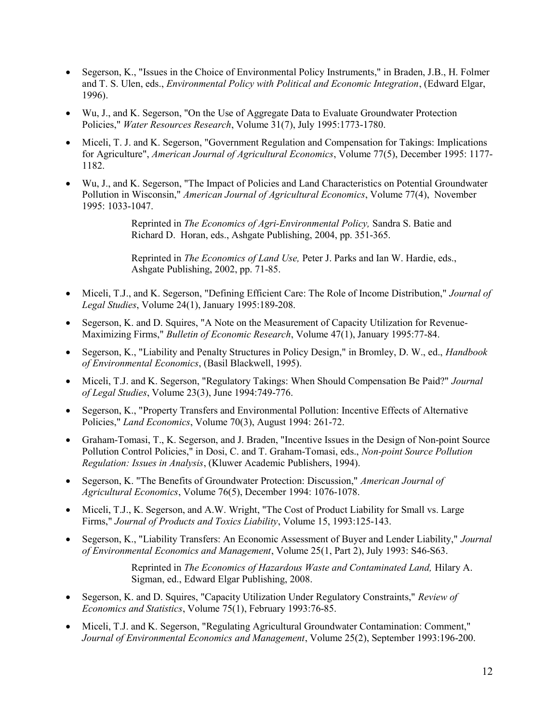- Segerson, K., "Issues in the Choice of Environmental Policy Instruments," in Braden, J.B., H. Folmer and T. S. Ulen, eds., Environmental Policy with Political and Economic Integration, (Edward Elgar, 1996).
- Wu, J., and K. Segerson, "On the Use of Aggregate Data to Evaluate Groundwater Protection Policies," Water Resources Research, Volume 31(7), July 1995:1773-1780.
- Miceli, T. J. and K. Segerson, "Government Regulation and Compensation for Takings: Implications for Agriculture", American Journal of Agricultural Economics, Volume 77(5), December 1995: 1177- 1182.
- Wu, J., and K. Segerson, "The Impact of Policies and Land Characteristics on Potential Groundwater Pollution in Wisconsin," American Journal of Agricultural Economics, Volume 77(4), November 1995: 1033-1047.

Reprinted in The Economics of Agri-Environmental Policy, Sandra S. Batie and Richard D. Horan, eds., Ashgate Publishing, 2004, pp. 351-365.

Reprinted in *The Economics of Land Use*, Peter J. Parks and Ian W. Hardie, eds., Ashgate Publishing, 2002, pp. 71-85.

- Miceli, T.J., and K. Segerson, "Defining Efficient Care: The Role of Income Distribution," Journal of Legal Studies, Volume 24(1), January 1995:189-208.
- Segerson, K. and D. Squires, "A Note on the Measurement of Capacity Utilization for Revenue-Maximizing Firms," Bulletin of Economic Research, Volume 47(1), January 1995:77-84.
- Segerson, K., "Liability and Penalty Structures in Policy Design," in Bromley, D. W., ed., Handbook of Environmental Economics, (Basil Blackwell, 1995).
- Miceli, T.J. and K. Segerson, "Regulatory Takings: When Should Compensation Be Paid?" Journal of Legal Studies, Volume 23(3), June 1994:749-776.
- Segerson, K., "Property Transfers and Environmental Pollution: Incentive Effects of Alternative Policies," Land Economics, Volume 70(3), August 1994: 261-72.
- Graham-Tomasi, T., K. Segerson, and J. Braden, "Incentive Issues in the Design of Non-point Source Pollution Control Policies," in Dosi, C. and T. Graham-Tomasi, eds., Non-point Source Pollution Regulation: Issues in Analysis, (Kluwer Academic Publishers, 1994).
- Segerson, K. "The Benefits of Groundwater Protection: Discussion," American Journal of Agricultural Economics, Volume 76(5), December 1994: 1076-1078.
- Miceli, T.J., K. Segerson, and A.W. Wright, "The Cost of Product Liability for Small vs. Large Firms," Journal of Products and Toxics Liability, Volume 15, 1993:125-143.
- Segerson, K., "Liability Transfers: An Economic Assessment of Buyer and Lender Liability," Journal of Environmental Economics and Management, Volume 25(1, Part 2), July 1993: S46-S63.

Reprinted in The Economics of Hazardous Waste and Contaminated Land, Hilary A. Sigman, ed., Edward Elgar Publishing, 2008.

- Segerson, K. and D. Squires, "Capacity Utilization Under Regulatory Constraints," Review of Economics and Statistics, Volume 75(1), February 1993:76-85.
- Miceli, T.J. and K. Segerson, "Regulating Agricultural Groundwater Contamination: Comment," Journal of Environmental Economics and Management, Volume 25(2), September 1993:196-200.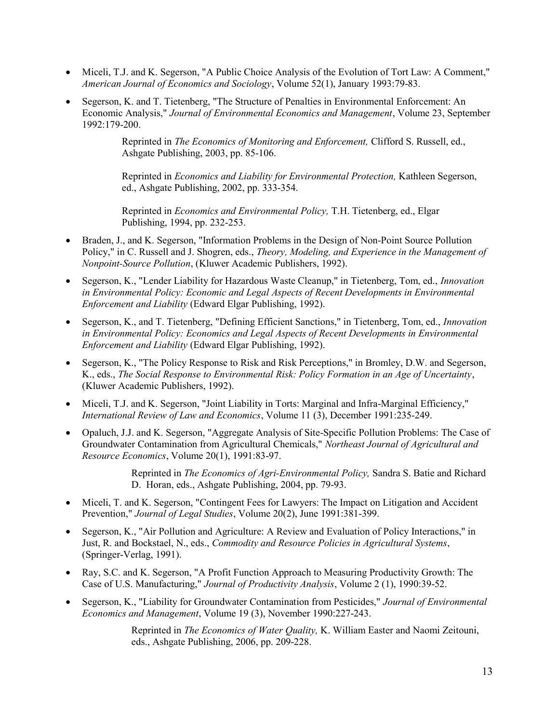- Miceli, T.J. and K. Segerson, "A Public Choice Analysis of the Evolution of Tort Law: A Comment," American Journal of Economics and Sociology, Volume 52(1), January 1993:79-83.
- Segerson, K. and T. Tietenberg, "The Structure of Penalties in Environmental Enforcement: An Economic Analysis," Journal of Environmental Economics and Management, Volume 23, September 1992:179-200.

Reprinted in The Economics of Monitoring and Enforcement, Clifford S. Russell, ed., Ashgate Publishing, 2003, pp. 85-106.

Reprinted in Economics and Liability for Environmental Protection, Kathleen Segerson, ed., Ashgate Publishing, 2002, pp. 333-354.

Reprinted in Economics and Environmental Policy, T.H. Tietenberg, ed., Elgar Publishing, 1994, pp. 232-253.

- Braden, J., and K. Segerson, "Information Problems in the Design of Non-Point Source Pollution Policy," in C. Russell and J. Shogren, eds., Theory, Modeling, and Experience in the Management of Nonpoint-Source Pollution, (Kluwer Academic Publishers, 1992).
- Segerson, K., "Lender Liability for Hazardous Waste Cleanup," in Tietenberg, Tom, ed., Innovation in Environmental Policy: Economic and Legal Aspects of Recent Developments in Environmental Enforcement and Liability (Edward Elgar Publishing, 1992).
- Segerson, K., and T. Tietenberg, "Defining Efficient Sanctions," in Tietenberg, Tom, ed., Innovation in Environmental Policy: Economics and Legal Aspects of Recent Developments in Environmental Enforcement and Liability (Edward Elgar Publishing, 1992).
- Segerson, K., "The Policy Response to Risk and Risk Perceptions," in Bromley, D.W. and Segerson, K., eds., The Social Response to Environmental Risk: Policy Formation in an Age of Uncertainty, (Kluwer Academic Publishers, 1992).
- Miceli, T.J. and K. Segerson, "Joint Liability in Torts: Marginal and Infra-Marginal Efficiency," International Review of Law and Economics, Volume 11 (3), December 1991:235-249.
- Opaluch, J.J. and K. Segerson, "Aggregate Analysis of Site-Specific Pollution Problems: The Case of Groundwater Contamination from Agricultural Chemicals," Northeast Journal of Agricultural and Resource Economics, Volume 20(1), 1991:83-97.

Reprinted in The Economics of Agri-Environmental Policy, Sandra S. Batie and Richard D. Horan, eds., Ashgate Publishing, 2004, pp. 79-93.

- Miceli, T. and K. Segerson, "Contingent Fees for Lawyers: The Impact on Litigation and Accident Prevention," *Journal of Legal Studies*, Volume 20(2), June 1991:381-399.
- Segerson, K., "Air Pollution and Agriculture: A Review and Evaluation of Policy Interactions," in Just, R. and Bockstael, N., eds., Commodity and Resource Policies in Agricultural Systems, (Springer-Verlag, 1991).
- Ray, S.C. and K. Segerson, "A Profit Function Approach to Measuring Productivity Growth: The Case of U.S. Manufacturing," Journal of Productivity Analysis, Volume 2 (1), 1990:39-52.
- Segerson, K., "Liability for Groundwater Contamination from Pesticides," Journal of Environmental Economics and Management, Volume 19 (3), November 1990:227-243.

Reprinted in The Economics of Water Quality, K. William Easter and Naomi Zeitouni, eds., Ashgate Publishing, 2006, pp. 209-228.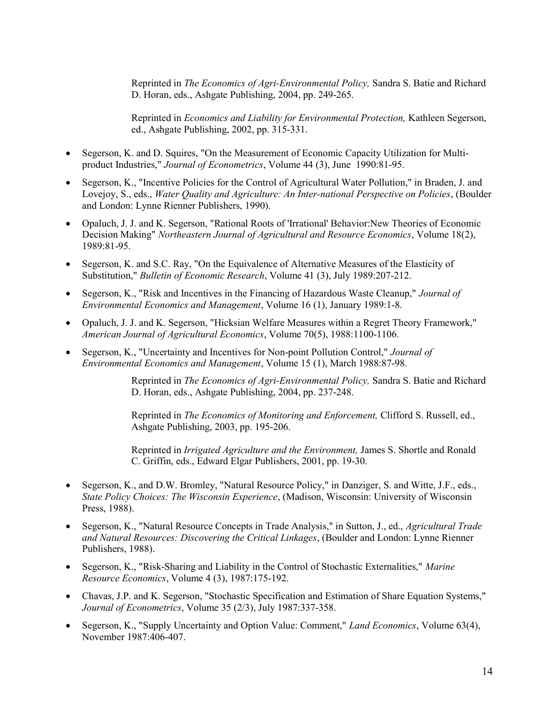Reprinted in The Economics of Agri-Environmental Policy, Sandra S. Batie and Richard D. Horan, eds., Ashgate Publishing, 2004, pp. 249-265.

Reprinted in Economics and Liability for Environmental Protection, Kathleen Segerson, ed., Ashgate Publishing, 2002, pp. 315-331.

- Segerson, K. and D. Squires, "On the Measurement of Economic Capacity Utilization for Multiproduct Industries," Journal of Econometrics, Volume 44 (3), June 1990:81-95.
- Segerson, K., "Incentive Policies for the Control of Agricultural Water Pollution," in Braden, J. and Lovejoy, S., eds., Water Quality and Agriculture: An Inter-national Perspective on Policies, (Boulder and London: Lynne Rienner Publishers, 1990).
- Opaluch, J. J. and K. Segerson, "Rational Roots of 'Irrational' Behavior:New Theories of Economic Decision Making" Northeastern Journal of Agricultural and Resource Economics, Volume 18(2), 1989:81-95.
- Segerson, K. and S.C. Ray, "On the Equivalence of Alternative Measures of the Elasticity of Substitution," Bulletin of Economic Research, Volume 41 (3), July 1989:207-212.
- Segerson, K., "Risk and Incentives in the Financing of Hazardous Waste Cleanup," Journal of Environmental Economics and Management, Volume 16 (1), January 1989:1-8.
- Opaluch, J. J. and K. Segerson, "Hicksian Welfare Measures within a Regret Theory Framework," American Journal of Agricultural Economics, Volume 70(5), 1988:1100-1106.
- Segerson, K., "Uncertainty and Incentives for Non-point Pollution Control," Journal of Environmental Economics and Management, Volume 15 (1), March 1988:87-98.

Reprinted in The Economics of Agri-Environmental Policy, Sandra S. Batie and Richard D. Horan, eds., Ashgate Publishing, 2004, pp. 237-248.

Reprinted in The Economics of Monitoring and Enforcement, Clifford S. Russell, ed., Ashgate Publishing, 2003, pp. 195-206.

Reprinted in Irrigated Agriculture and the Environment, James S. Shortle and Ronald C. Griffin, eds., Edward Elgar Publishers, 2001, pp. 19-30.

- Segerson, K., and D.W. Bromley, "Natural Resource Policy," in Danziger, S. and Witte, J.F., eds., State Policy Choices: The Wisconsin Experience, (Madison, Wisconsin: University of Wisconsin Press, 1988).
- Segerson, K., "Natural Resource Concepts in Trade Analysis," in Sutton, J., ed., Agricultural Trade and Natural Resources: Discovering the Critical Linkages, (Boulder and London: Lynne Rienner Publishers, 1988).
- Segerson, K., "Risk-Sharing and Liability in the Control of Stochastic Externalities," Marine Resource Economics, Volume 4 (3), 1987:175-192.
- Chavas, J.P. and K. Segerson, "Stochastic Specification and Estimation of Share Equation Systems," Journal of Econometrics, Volume 35 (2/3), July 1987:337-358.
- Segerson, K., "Supply Uncertainty and Option Value: Comment," Land Economics, Volume 63(4), November 1987:406-407.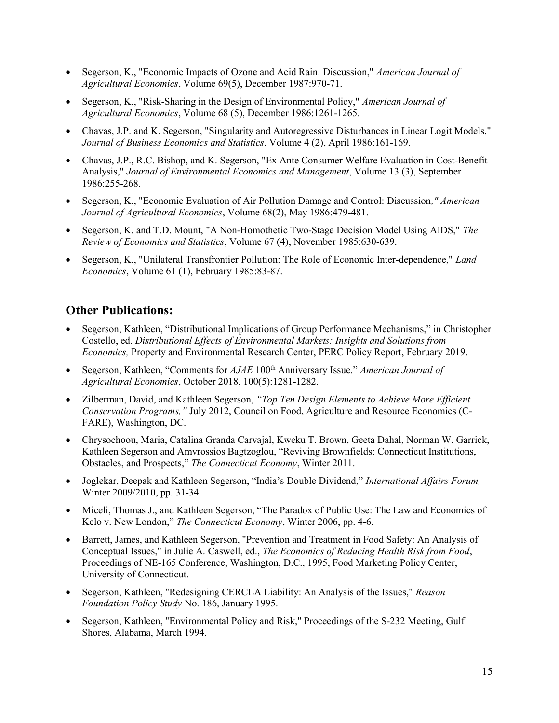- Segerson, K., "Economic Impacts of Ozone and Acid Rain: Discussion," American Journal of Agricultural Economics, Volume 69(5), December 1987:970-71.
- Segerson, K., "Risk-Sharing in the Design of Environmental Policy," American Journal of Agricultural Economics, Volume 68 (5), December 1986:1261-1265.
- Chavas, J.P. and K. Segerson, "Singularity and Autoregressive Disturbances in Linear Logit Models," Journal of Business Economics and Statistics, Volume 4 (2), April 1986:161-169.
- Chavas, J.P., R.C. Bishop, and K. Segerson, "Ex Ante Consumer Welfare Evaluation in Cost-Benefit Analysis," Journal of Environmental Economics and Management, Volume 13 (3), September 1986:255-268.
- Segerson, K., "Economic Evaluation of Air Pollution Damage and Control: Discussion," American Journal of Agricultural Economics, Volume 68(2), May 1986:479-481.
- Segerson, K. and T.D. Mount, "A Non-Homothetic Two-Stage Decision Model Using AIDS," The Review of Economics and Statistics, Volume 67 (4), November 1985:630-639.
- Segerson, K., "Unilateral Transfrontier Pollution: The Role of Economic Inter-dependence," Land Economics, Volume 61 (1), February 1985:83-87.

## Other Publications:

- Segerson, Kathleen, "Distributional Implications of Group Performance Mechanisms," in Christopher Costello, ed. Distributional Effects of Environmental Markets: Insights and Solutions from Economics, Property and Environmental Research Center, PERC Policy Report, February 2019.
- Segerson, Kathleen, "Comments for AJAE 100<sup>th</sup> Anniversary Issue." American Journal of Agricultural Economics, October 2018, 100(5):1281-1282.
- Zilberman, David, and Kathleen Segerson, "Top Ten Design Elements to Achieve More Efficient Conservation Programs," July 2012, Council on Food, Agriculture and Resource Economics (C-FARE), Washington, DC.
- Chrysochoou, Maria, Catalina Granda Carvajal, Kweku T. Brown, Geeta Dahal, Norman W. Garrick, Kathleen Segerson and Amvrossios Bagtzoglou, "Reviving Brownfields: Connecticut Institutions, Obstacles, and Prospects," The Connecticut Economy, Winter 2011.
- Joglekar, Deepak and Kathleen Segerson, "India's Double Dividend," International Affairs Forum, Winter 2009/2010, pp. 31-34.
- Miceli, Thomas J., and Kathleen Segerson, "The Paradox of Public Use: The Law and Economics of Kelo v. New London," The Connecticut Economy, Winter 2006, pp. 4-6.
- Barrett, James, and Kathleen Segerson, "Prevention and Treatment in Food Safety: An Analysis of Conceptual Issues," in Julie A. Caswell, ed., The Economics of Reducing Health Risk from Food, Proceedings of NE-165 Conference, Washington, D.C., 1995, Food Marketing Policy Center, University of Connecticut.
- Segerson, Kathleen, "Redesigning CERCLA Liability: An Analysis of the Issues," Reason Foundation Policy Study No. 186, January 1995.
- Segerson, Kathleen, "Environmental Policy and Risk," Proceedings of the S-232 Meeting, Gulf Shores, Alabama, March 1994.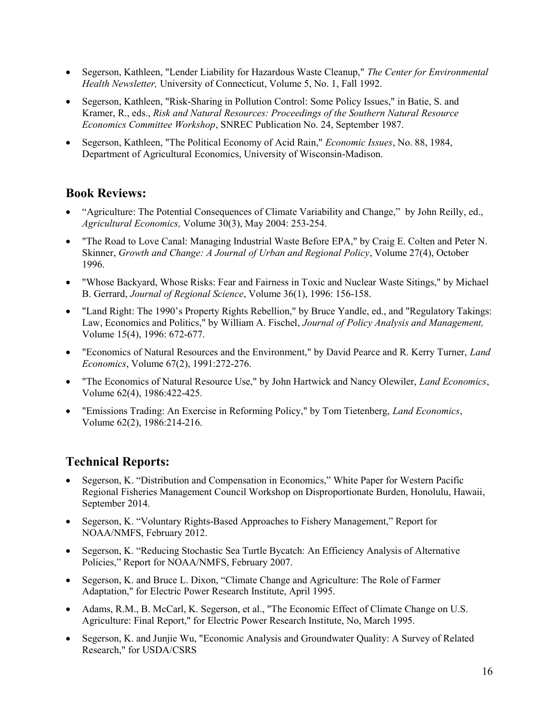- Segerson, Kathleen, "Lender Liability for Hazardous Waste Cleanup," The Center for Environmental Health Newsletter, University of Connecticut, Volume 5, No. 1, Fall 1992.
- Segerson, Kathleen, "Risk-Sharing in Pollution Control: Some Policy Issues," in Batie, S. and Kramer, R., eds., Risk and Natural Resources: Proceedings of the Southern Natural Resource Economics Committee Workshop, SNREC Publication No. 24, September 1987.
- Segerson, Kathleen, "The Political Economy of Acid Rain," Economic Issues, No. 88, 1984, Department of Agricultural Economics, University of Wisconsin-Madison.

## Book Reviews:

- "Agriculture: The Potential Consequences of Climate Variability and Change," by John Reilly, ed., Agricultural Economics, Volume 30(3), May 2004: 253-254.
- "The Road to Love Canal: Managing Industrial Waste Before EPA," by Craig E. Colten and Peter N. Skinner, Growth and Change: A Journal of Urban and Regional Policy, Volume 27(4), October 1996.
- "Whose Backyard, Whose Risks: Fear and Fairness in Toxic and Nuclear Waste Sitings," by Michael B. Gerrard, Journal of Regional Science, Volume 36(1), 1996: 156-158.
- "Land Right: The 1990's Property Rights Rebellion," by Bruce Yandle, ed., and "Regulatory Takings: Law, Economics and Politics," by William A. Fischel, Journal of Policy Analysis and Management, Volume 15(4), 1996: 672-677.
- "Economics of Natural Resources and the Environment," by David Pearce and R. Kerry Turner, Land Economics, Volume 67(2), 1991:272-276.
- "The Economics of Natural Resource Use," by John Hartwick and Nancy Olewiler, Land Economics, Volume 62(4), 1986:422-425.
- "Emissions Trading: An Exercise in Reforming Policy," by Tom Tietenberg, Land Economics, Volume 62(2), 1986:214-216.

# Technical Reports:

- Segerson, K. "Distribution and Compensation in Economics," White Paper for Western Pacific Regional Fisheries Management Council Workshop on Disproportionate Burden, Honolulu, Hawaii, September 2014.
- Segerson, K. "Voluntary Rights-Based Approaches to Fishery Management," Report for NOAA/NMFS, February 2012.
- Segerson, K. "Reducing Stochastic Sea Turtle Bycatch: An Efficiency Analysis of Alternative Policies," Report for NOAA/NMFS, February 2007.
- Segerson, K. and Bruce L. Dixon, "Climate Change and Agriculture: The Role of Farmer Adaptation," for Electric Power Research Institute, April 1995.
- Adams, R.M., B. McCarl, K. Segerson, et al., "The Economic Effect of Climate Change on U.S. Agriculture: Final Report," for Electric Power Research Institute, No, March 1995.
- Segerson, K. and Junjie Wu, "Economic Analysis and Groundwater Quality: A Survey of Related Research," for USDA/CSRS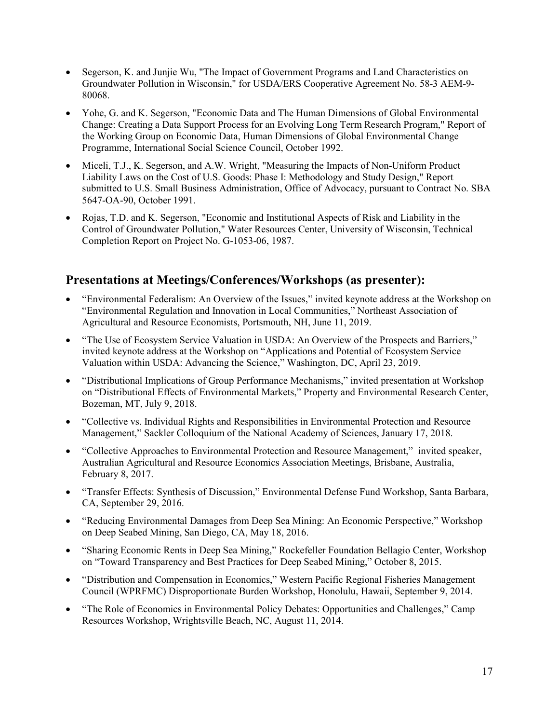- Segerson, K. and Junjie Wu, "The Impact of Government Programs and Land Characteristics on Groundwater Pollution in Wisconsin," for USDA/ERS Cooperative Agreement No. 58-3 AEM-9- 80068.
- Yohe, G. and K. Segerson, "Economic Data and The Human Dimensions of Global Environmental Change: Creating a Data Support Process for an Evolving Long Term Research Program," Report of the Working Group on Economic Data, Human Dimensions of Global Environmental Change Programme, International Social Science Council, October 1992.
- Miceli, T.J., K. Segerson, and A.W. Wright, "Measuring the Impacts of Non-Uniform Product Liability Laws on the Cost of U.S. Goods: Phase I: Methodology and Study Design," Report submitted to U.S. Small Business Administration, Office of Advocacy, pursuant to Contract No. SBA 5647-OA-90, October 1991.
- Rojas, T.D. and K. Segerson, "Economic and Institutional Aspects of Risk and Liability in the Control of Groundwater Pollution," Water Resources Center, University of Wisconsin, Technical Completion Report on Project No. G-1053-06, 1987.

# Presentations at Meetings/Conferences/Workshops (as presenter):

- "Environmental Federalism: An Overview of the Issues," invited keynote address at the Workshop on "Environmental Regulation and Innovation in Local Communities," Northeast Association of Agricultural and Resource Economists, Portsmouth, NH, June 11, 2019.
- "The Use of Ecosystem Service Valuation in USDA: An Overview of the Prospects and Barriers," invited keynote address at the Workshop on "Applications and Potential of Ecosystem Service Valuation within USDA: Advancing the Science," Washington, DC, April 23, 2019.
- "Distributional Implications of Group Performance Mechanisms," invited presentation at Workshop on "Distributional Effects of Environmental Markets," Property and Environmental Research Center, Bozeman, MT, July 9, 2018.
- "Collective vs. Individual Rights and Responsibilities in Environmental Protection and Resource Management," Sackler Colloquium of the National Academy of Sciences, January 17, 2018.
- "Collective Approaches to Environmental Protection and Resource Management," invited speaker, Australian Agricultural and Resource Economics Association Meetings, Brisbane, Australia, February 8, 2017.
- "Transfer Effects: Synthesis of Discussion," Environmental Defense Fund Workshop, Santa Barbara, CA, September 29, 2016.
- "Reducing Environmental Damages from Deep Sea Mining: An Economic Perspective," Workshop on Deep Seabed Mining, San Diego, CA, May 18, 2016.
- "Sharing Economic Rents in Deep Sea Mining," Rockefeller Foundation Bellagio Center, Workshop on "Toward Transparency and Best Practices for Deep Seabed Mining," October 8, 2015.
- "Distribution and Compensation in Economics," Western Pacific Regional Fisheries Management Council (WPRFMC) Disproportionate Burden Workshop, Honolulu, Hawaii, September 9, 2014.
- "The Role of Economics in Environmental Policy Debates: Opportunities and Challenges," Camp Resources Workshop, Wrightsville Beach, NC, August 11, 2014.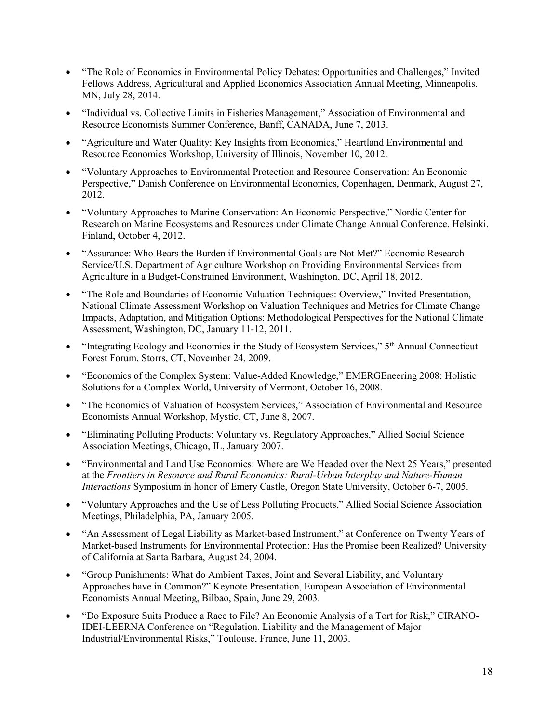- "The Role of Economics in Environmental Policy Debates: Opportunities and Challenges," Invited Fellows Address, Agricultural and Applied Economics Association Annual Meeting, Minneapolis, MN, July 28, 2014.
- "Individual vs. Collective Limits in Fisheries Management," Association of Environmental and Resource Economists Summer Conference, Banff, CANADA, June 7, 2013.
- "Agriculture and Water Quality: Key Insights from Economics," Heartland Environmental and Resource Economics Workshop, University of Illinois, November 10, 2012.
- "Voluntary Approaches to Environmental Protection and Resource Conservation: An Economic Perspective," Danish Conference on Environmental Economics, Copenhagen, Denmark, August 27, 2012.
- "Voluntary Approaches to Marine Conservation: An Economic Perspective," Nordic Center for Research on Marine Ecosystems and Resources under Climate Change Annual Conference, Helsinki, Finland, October 4, 2012.
- "Assurance: Who Bears the Burden if Environmental Goals are Not Met?" Economic Research Service/U.S. Department of Agriculture Workshop on Providing Environmental Services from Agriculture in a Budget-Constrained Environment, Washington, DC, April 18, 2012.
- "The Role and Boundaries of Economic Valuation Techniques: Overview," Invited Presentation, National Climate Assessment Workshop on Valuation Techniques and Metrics for Climate Change Impacts, Adaptation, and Mitigation Options: Methodological Perspectives for the National Climate Assessment, Washington, DC, January 11-12, 2011.
- $\bullet$  "Integrating Ecology and Economics in the Study of Ecosystem Services,"  $5<sup>th</sup>$  Annual Connecticut Forest Forum, Storrs, CT, November 24, 2009.
- "Economics of the Complex System: Value-Added Knowledge," EMERGEneering 2008: Holistic Solutions for a Complex World, University of Vermont, October 16, 2008.
- "The Economics of Valuation of Ecosystem Services," Association of Environmental and Resource Economists Annual Workshop, Mystic, CT, June 8, 2007.
- "Eliminating Polluting Products: Voluntary vs. Regulatory Approaches," Allied Social Science Association Meetings, Chicago, IL, January 2007.
- "Environmental and Land Use Economics: Where are We Headed over the Next 25 Years," presented at the Frontiers in Resource and Rural Economics: Rural-Urban Interplay and Nature-Human Interactions Symposium in honor of Emery Castle, Oregon State University, October 6-7, 2005.
- "Voluntary Approaches and the Use of Less Polluting Products," Allied Social Science Association Meetings, Philadelphia, PA, January 2005.
- "An Assessment of Legal Liability as Market-based Instrument," at Conference on Twenty Years of Market-based Instruments for Environmental Protection: Has the Promise been Realized? University of California at Santa Barbara, August 24, 2004.
- "Group Punishments: What do Ambient Taxes, Joint and Several Liability, and Voluntary Approaches have in Common?" Keynote Presentation, European Association of Environmental Economists Annual Meeting, Bilbao, Spain, June 29, 2003.
- "Do Exposure Suits Produce a Race to File? An Economic Analysis of a Tort for Risk," CIRANO-IDEI-LEERNA Conference on "Regulation, Liability and the Management of Major Industrial/Environmental Risks," Toulouse, France, June 11, 2003.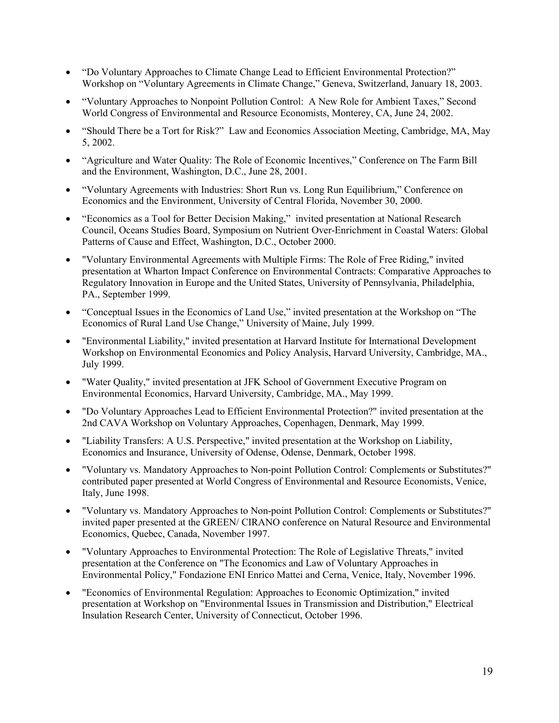- "Do Voluntary Approaches to Climate Change Lead to Efficient Environmental Protection?" Workshop on "Voluntary Agreements in Climate Change," Geneva, Switzerland, January 18, 2003.
- "Voluntary Approaches to Nonpoint Pollution Control: A New Role for Ambient Taxes," Second World Congress of Environmental and Resource Economists, Monterey, CA, June 24, 2002.
- "Should There be a Tort for Risk?" Law and Economics Association Meeting, Cambridge, MA, May 5, 2002.
- "Agriculture and Water Quality: The Role of Economic Incentives," Conference on The Farm Bill and the Environment, Washington, D.C., June 28, 2001.
- "Voluntary Agreements with Industries: Short Run vs. Long Run Equilibrium," Conference on Economics and the Environment, University of Central Florida, November 30, 2000.
- "Economics as a Tool for Better Decision Making," invited presentation at National Research Council, Oceans Studies Board, Symposium on Nutrient Over-Enrichment in Coastal Waters: Global Patterns of Cause and Effect, Washington, D.C., October 2000.
- "Voluntary Environmental Agreements with Multiple Firms: The Role of Free Riding," invited presentation at Wharton Impact Conference on Environmental Contracts: Comparative Approaches to Regulatory Innovation in Europe and the United States, University of Pennsylvania, Philadelphia, PA., September 1999.
- "Conceptual Issues in the Economics of Land Use," invited presentation at the Workshop on "The Economics of Rural Land Use Change," University of Maine, July 1999.
- "Environmental Liability," invited presentation at Harvard Institute for International Development Workshop on Environmental Economics and Policy Analysis, Harvard University, Cambridge, MA., July 1999.
- "Water Quality," invited presentation at JFK School of Government Executive Program on Environmental Economics, Harvard University, Cambridge, MA., May 1999.
- "Do Voluntary Approaches Lead to Efficient Environmental Protection?" invited presentation at the 2nd CAVA Workshop on Voluntary Approaches, Copenhagen, Denmark, May 1999.
- "Liability Transfers: A U.S. Perspective," invited presentation at the Workshop on Liability, Economics and Insurance, University of Odense, Odense, Denmark, October 1998.
- "Voluntary vs. Mandatory Approaches to Non-point Pollution Control: Complements or Substitutes?" contributed paper presented at World Congress of Environmental and Resource Economists, Venice, Italy, June 1998.
- "Voluntary vs. Mandatory Approaches to Non-point Pollution Control: Complements or Substitutes?" invited paper presented at the GREEN/ CIRANO conference on Natural Resource and Environmental Economics, Quebec, Canada, November 1997.
- "Voluntary Approaches to Environmental Protection: The Role of Legislative Threats," invited presentation at the Conference on "The Economics and Law of Voluntary Approaches in Environmental Policy," Fondazione ENI Enrico Mattei and Cerna, Venice, Italy, November 1996.
- "Economics of Environmental Regulation: Approaches to Economic Optimization," invited presentation at Workshop on "Environmental Issues in Transmission and Distribution," Electrical Insulation Research Center, University of Connecticut, October 1996.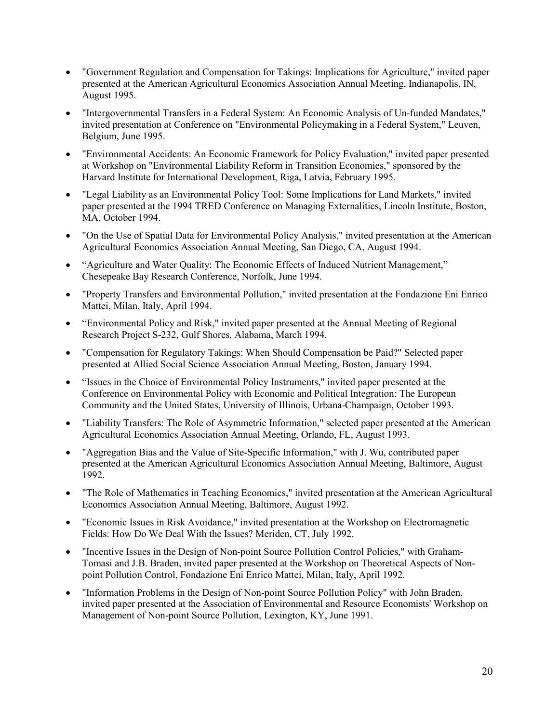- "Government Regulation and Compensation for Takings: Implications for Agriculture," invited paper presented at the American Agricultural Economics Association Annual Meeting, Indianapolis, IN, August 1995.
- "Intergovernmental Transfers in a Federal System: An Economic Analysis of Un-funded Mandates," invited presentation at Conference on "Environmental Policymaking in a Federal System," Leuven, Belgium, June 1995.
- "Environmental Accidents: An Economic Framework for Policy Evaluation," invited paper presented at Workshop on "Environmental Liability Reform in Transition Economies," sponsored by the Harvard Institute for International Development, Riga, Latvia, February 1995.
- "Legal Liability as an Environmental Policy Tool: Some Implications for Land Markets," invited paper presented at the 1994 TRED Conference on Managing Externalities, Lincoln Institute, Boston, MA, October 1994.
- "On the Use of Spatial Data for Environmental Policy Analysis," invited presentation at the American Agricultural Economics Association Annual Meeting, San Diego, CA, August 1994.
- "Agriculture and Water Quality: The Economic Effects of Induced Nutrient Management," Chesepeake Bay Research Conference, Norfolk, June 1994.
- "Property Transfers and Environmental Pollution," invited presentation at the Fondazione Eni Enrico Mattei, Milan, Italy, April 1994.
- "Environmental Policy and Risk," invited paper presented at the Annual Meeting of Regional Research Project S-232, Gulf Shores, Alabama, March 1994.
- "Compensation for Regulatory Takings: When Should Compensation be Paid?" Selected paper presented at Allied Social Science Association Annual Meeting, Boston, January 1994.
- "Issues in the Choice of Environmental Policy Instruments," invited paper presented at the Conference on Environmental Policy with Economic and Political Integration: The European Community and the United States, University of Illinois, Urbana-Champaign, October 1993.
- "Liability Transfers: The Role of Asymmetric Information," selected paper presented at the American Agricultural Economics Association Annual Meeting, Orlando, FL, August 1993.
- "Aggregation Bias and the Value of Site-Specific Information," with J. Wu, contributed paper presented at the American Agricultural Economics Association Annual Meeting, Baltimore, August 1992.
- "The Role of Mathematics in Teaching Economics," invited presentation at the American Agricultural Economics Association Annual Meeting, Baltimore, August 1992.
- "Economic Issues in Risk Avoidance," invited presentation at the Workshop on Electromagnetic Fields: How Do We Deal With the Issues? Meriden, CT, July 1992.
- "Incentive Issues in the Design of Non-point Source Pollution Control Policies," with Graham-Tomasi and J.B. Braden, invited paper presented at the Workshop on Theoretical Aspects of Nonpoint Pollution Control, Fondazione Eni Enrico Mattei, Milan, Italy, April 1992.
- "Information Problems in the Design of Non-point Source Pollution Policy" with John Braden, invited paper presented at the Association of Environmental and Resource Economists' Workshop on Management of Non-point Source Pollution, Lexington, KY, June 1991.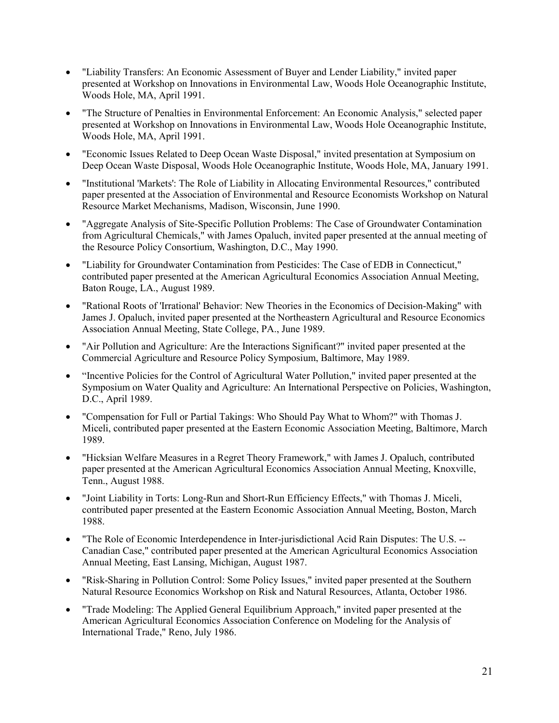- "Liability Transfers: An Economic Assessment of Buyer and Lender Liability," invited paper presented at Workshop on Innovations in Environmental Law, Woods Hole Oceanographic Institute, Woods Hole, MA, April 1991.
- "The Structure of Penalties in Environmental Enforcement: An Economic Analysis," selected paper presented at Workshop on Innovations in Environmental Law, Woods Hole Oceanographic Institute, Woods Hole, MA, April 1991.
- "Economic Issues Related to Deep Ocean Waste Disposal," invited presentation at Symposium on Deep Ocean Waste Disposal, Woods Hole Oceanographic Institute, Woods Hole, MA, January 1991.
- "Institutional 'Markets': The Role of Liability in Allocating Environmental Resources," contributed paper presented at the Association of Environmental and Resource Economists Workshop on Natural Resource Market Mechanisms, Madison, Wisconsin, June 1990.
- "Aggregate Analysis of Site-Specific Pollution Problems: The Case of Groundwater Contamination from Agricultural Chemicals," with James Opaluch, invited paper presented at the annual meeting of the Resource Policy Consortium, Washington, D.C., May 1990.
- "Liability for Groundwater Contamination from Pesticides: The Case of EDB in Connecticut," contributed paper presented at the American Agricultural Economics Association Annual Meeting, Baton Rouge, LA., August 1989.
- "Rational Roots of 'Irrational' Behavior: New Theories in the Economics of Decision-Making" with James J. Opaluch, invited paper presented at the Northeastern Agricultural and Resource Economics Association Annual Meeting, State College, PA., June 1989.
- "Air Pollution and Agriculture: Are the Interactions Significant?" invited paper presented at the Commercial Agriculture and Resource Policy Symposium, Baltimore, May 1989.
- "Incentive Policies for the Control of Agricultural Water Pollution," invited paper presented at the Symposium on Water Quality and Agriculture: An International Perspective on Policies, Washington, D.C., April 1989.
- "Compensation for Full or Partial Takings: Who Should Pay What to Whom?" with Thomas J. Miceli, contributed paper presented at the Eastern Economic Association Meeting, Baltimore, March 1989.
- "Hicksian Welfare Measures in a Regret Theory Framework," with James J. Opaluch, contributed paper presented at the American Agricultural Economics Association Annual Meeting, Knoxville, Tenn., August 1988.
- "Joint Liability in Torts: Long-Run and Short-Run Efficiency Effects," with Thomas J. Miceli, contributed paper presented at the Eastern Economic Association Annual Meeting, Boston, March 1988.
- "The Role of Economic Interdependence in Inter-jurisdictional Acid Rain Disputes: The U.S. -- Canadian Case," contributed paper presented at the American Agricultural Economics Association Annual Meeting, East Lansing, Michigan, August 1987.
- "Risk-Sharing in Pollution Control: Some Policy Issues," invited paper presented at the Southern Natural Resource Economics Workshop on Risk and Natural Resources, Atlanta, October 1986.
- "Trade Modeling: The Applied General Equilibrium Approach," invited paper presented at the American Agricultural Economics Association Conference on Modeling for the Analysis of International Trade," Reno, July 1986.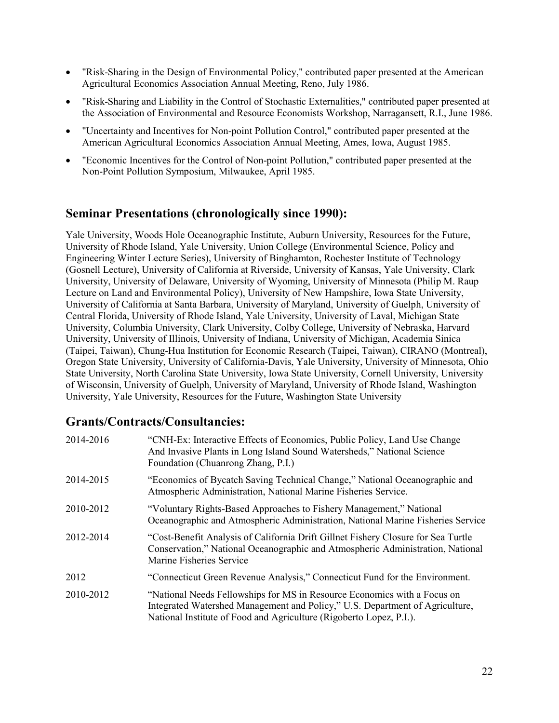- "Risk-Sharing in the Design of Environmental Policy," contributed paper presented at the American Agricultural Economics Association Annual Meeting, Reno, July 1986.
- "Risk-Sharing and Liability in the Control of Stochastic Externalities," contributed paper presented at the Association of Environmental and Resource Economists Workshop, Narragansett, R.I., June 1986.
- "Uncertainty and Incentives for Non-point Pollution Control," contributed paper presented at the American Agricultural Economics Association Annual Meeting, Ames, Iowa, August 1985.
- "Economic Incentives for the Control of Non-point Pollution," contributed paper presented at the Non-Point Pollution Symposium, Milwaukee, April 1985.

## Seminar Presentations (chronologically since 1990):

Yale University, Woods Hole Oceanographic Institute, Auburn University, Resources for the Future, University of Rhode Island, Yale University, Union College (Environmental Science, Policy and Engineering Winter Lecture Series), University of Binghamton, Rochester Institute of Technology (Gosnell Lecture), University of California at Riverside, University of Kansas, Yale University, Clark University, University of Delaware, University of Wyoming, University of Minnesota (Philip M. Raup Lecture on Land and Environmental Policy), University of New Hampshire, Iowa State University, University of California at Santa Barbara, University of Maryland, University of Guelph, University of Central Florida, University of Rhode Island, Yale University, University of Laval, Michigan State University, Columbia University, Clark University, Colby College, University of Nebraska, Harvard University, University of Illinois, University of Indiana, University of Michigan, Academia Sinica (Taipei, Taiwan), Chung-Hua Institution for Economic Research (Taipei, Taiwan), CIRANO (Montreal), Oregon State University, University of California-Davis, Yale University, University of Minnesota, Ohio State University, North Carolina State University, Iowa State University, Cornell University, University of Wisconsin, University of Guelph, University of Maryland, University of Rhode Island, Washington University, Yale University, Resources for the Future, Washington State University

## Grants/Contracts/Consultancies:

| 2014-2016 | "CNH-Ex: Interactive Effects of Economics, Public Policy, Land Use Change<br>And Invasive Plants in Long Island Sound Watersheds," National Science<br>Foundation (Chuanrong Zhang, P.I.)                                       |
|-----------|---------------------------------------------------------------------------------------------------------------------------------------------------------------------------------------------------------------------------------|
| 2014-2015 | "Economics of Bycatch Saving Technical Change," National Oceanographic and<br>Atmospheric Administration, National Marine Fisheries Service.                                                                                    |
| 2010-2012 | "Voluntary Rights-Based Approaches to Fishery Management," National<br>Oceanographic and Atmospheric Administration, National Marine Fisheries Service                                                                          |
| 2012-2014 | "Cost-Benefit Analysis of California Drift Gillnet Fishery Closure for Sea Turtle<br>Conservation," National Oceanographic and Atmospheric Administration, National<br>Marine Fisheries Service                                 |
| 2012      | "Connecticut Green Revenue Analysis," Connecticut Fund for the Environment.                                                                                                                                                     |
| 2010-2012 | "National Needs Fellowships for MS in Resource Economics with a Focus on<br>Integrated Watershed Management and Policy," U.S. Department of Agriculture,<br>National Institute of Food and Agriculture (Rigoberto Lopez, P.I.). |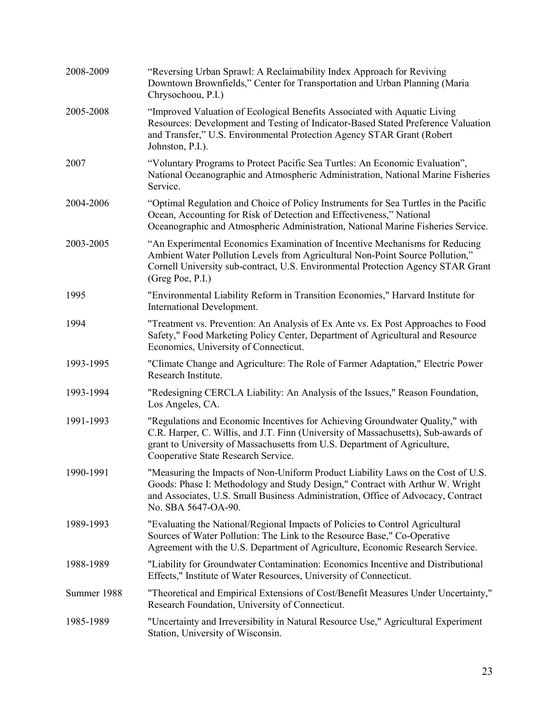| 2008-2009   | "Reversing Urban Sprawl: A Reclaimability Index Approach for Reviving<br>Downtown Brownfields," Center for Transportation and Urban Planning (Maria<br>Chrysochoou, P.I.)                                                                                                               |
|-------------|-----------------------------------------------------------------------------------------------------------------------------------------------------------------------------------------------------------------------------------------------------------------------------------------|
| 2005-2008   | "Improved Valuation of Ecological Benefits Associated with Aquatic Living<br>Resources: Development and Testing of Indicator-Based Stated Preference Valuation<br>and Transfer," U.S. Environmental Protection Agency STAR Grant (Robert<br>Johnston, P.I.).                            |
| 2007        | "Voluntary Programs to Protect Pacific Sea Turtles: An Economic Evaluation",<br>National Oceanographic and Atmospheric Administration, National Marine Fisheries<br>Service.                                                                                                            |
| 2004-2006   | "Optimal Regulation and Choice of Policy Instruments for Sea Turtles in the Pacific<br>Ocean, Accounting for Risk of Detection and Effectiveness," National<br>Oceanographic and Atmospheric Administration, National Marine Fisheries Service.                                         |
| 2003-2005   | "An Experimental Economics Examination of Incentive Mechanisms for Reducing<br>Ambient Water Pollution Levels from Agricultural Non-Point Source Pollution,"<br>Cornell University sub-contract, U.S. Environmental Protection Agency STAR Grant<br>(Greg Poe, P.I.)                    |
| 1995        | "Environmental Liability Reform in Transition Economies," Harvard Institute for<br>International Development.                                                                                                                                                                           |
| 1994        | "Treatment vs. Prevention: An Analysis of Ex Ante vs. Ex Post Approaches to Food<br>Safety," Food Marketing Policy Center, Department of Agricultural and Resource<br>Economics, University of Connecticut.                                                                             |
| 1993-1995   | "Climate Change and Agriculture: The Role of Farmer Adaptation," Electric Power<br>Research Institute.                                                                                                                                                                                  |
| 1993-1994   | "Redesigning CERCLA Liability: An Analysis of the Issues," Reason Foundation,<br>Los Angeles, CA.                                                                                                                                                                                       |
| 1991-1993   | "Regulations and Economic Incentives for Achieving Groundwater Quality," with<br>C.R. Harper, C. Willis, and J.T. Finn (University of Massachusetts), Sub-awards of<br>grant to University of Massachusetts from U.S. Department of Agriculture,<br>Cooperative State Research Service. |
| 1990-1991   | "Measuring the Impacts of Non-Uniform Product Liability Laws on the Cost of U.S<br>Goods: Phase I: Methodology and Study Design," Contract with Arthur W. Wright<br>and Associates, U.S. Small Business Administration, Office of Advocacy, Contract<br>No. SBA 5647-OA-90.             |
| 1989-1993   | "Evaluating the National/Regional Impacts of Policies to Control Agricultural<br>Sources of Water Pollution: The Link to the Resource Base," Co-Operative<br>Agreement with the U.S. Department of Agriculture, Economic Research Service.                                              |
| 1988-1989   | "Liability for Groundwater Contamination: Economics Incentive and Distributional<br>Effects," Institute of Water Resources, University of Connecticut.                                                                                                                                  |
| Summer 1988 | "Theoretical and Empirical Extensions of Cost/Benefit Measures Under Uncertainty,"<br>Research Foundation, University of Connecticut.                                                                                                                                                   |
| 1985-1989   | "Uncertainty and Irreversibility in Natural Resource Use," Agricultural Experiment<br>Station, University of Wisconsin.                                                                                                                                                                 |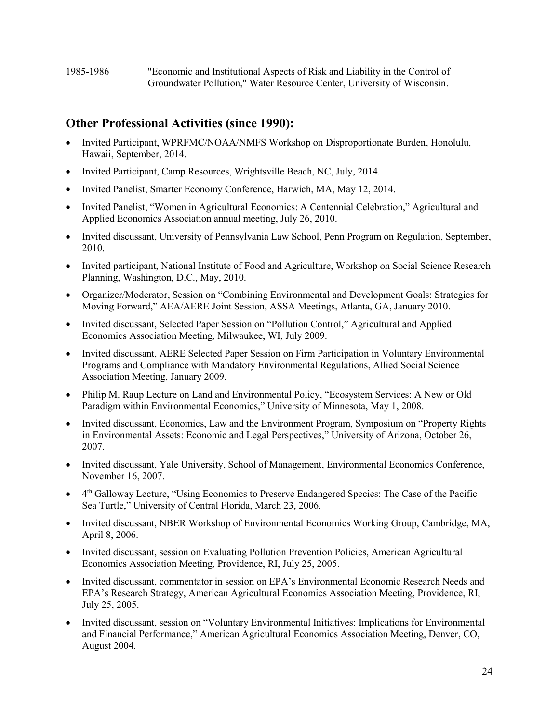# Other Professional Activities (since 1990):

- Invited Participant, WPRFMC/NOAA/NMFS Workshop on Disproportionate Burden, Honolulu, Hawaii, September, 2014.
- Invited Participant, Camp Resources, Wrightsville Beach, NC, July, 2014.
- Invited Panelist, Smarter Economy Conference, Harwich, MA, May 12, 2014.
- Invited Panelist, "Women in Agricultural Economics: A Centennial Celebration," Agricultural and Applied Economics Association annual meeting, July 26, 2010.
- Invited discussant, University of Pennsylvania Law School, Penn Program on Regulation, September, 2010.
- Invited participant, National Institute of Food and Agriculture, Workshop on Social Science Research Planning, Washington, D.C., May, 2010.
- Organizer/Moderator, Session on "Combining Environmental and Development Goals: Strategies for Moving Forward," AEA/AERE Joint Session, ASSA Meetings, Atlanta, GA, January 2010.
- Invited discussant, Selected Paper Session on "Pollution Control," Agricultural and Applied Economics Association Meeting, Milwaukee, WI, July 2009.
- Invited discussant, AERE Selected Paper Session on Firm Participation in Voluntary Environmental Programs and Compliance with Mandatory Environmental Regulations, Allied Social Science Association Meeting, January 2009.
- Philip M. Raup Lecture on Land and Environmental Policy, "Ecosystem Services: A New or Old Paradigm within Environmental Economics," University of Minnesota, May 1, 2008.
- Invited discussant, Economics, Law and the Environment Program, Symposium on "Property Rights in Environmental Assets: Economic and Legal Perspectives," University of Arizona, October 26, 2007.
- Invited discussant, Yale University, School of Management, Environmental Economics Conference, November 16, 2007.
- 4 th Galloway Lecture, "Using Economics to Preserve Endangered Species: The Case of the Pacific Sea Turtle," University of Central Florida, March 23, 2006.
- Invited discussant, NBER Workshop of Environmental Economics Working Group, Cambridge, MA, April 8, 2006.
- Invited discussant, session on Evaluating Pollution Prevention Policies, American Agricultural Economics Association Meeting, Providence, RI, July 25, 2005.
- Invited discussant, commentator in session on EPA's Environmental Economic Research Needs and EPA's Research Strategy, American Agricultural Economics Association Meeting, Providence, RI, July 25, 2005.
- Invited discussant, session on "Voluntary Environmental Initiatives: Implications for Environmental and Financial Performance," American Agricultural Economics Association Meeting, Denver, CO, August 2004.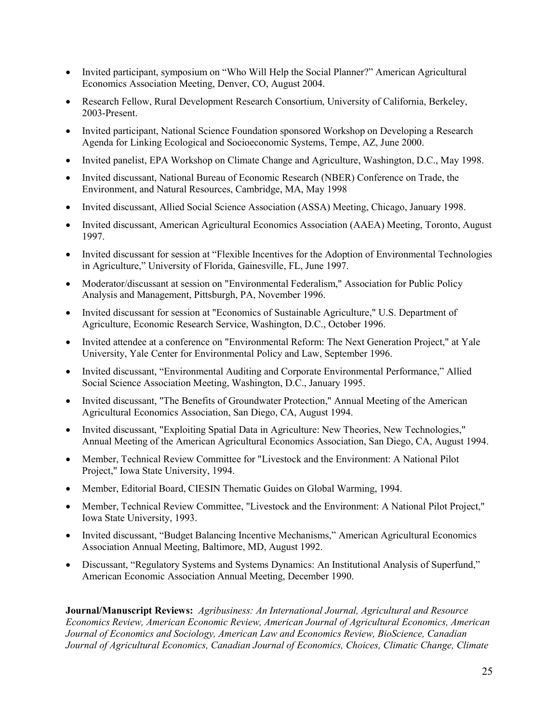- Invited participant, symposium on "Who Will Help the Social Planner?" American Agricultural Economics Association Meeting, Denver, CO, August 2004.
- Research Fellow, Rural Development Research Consortium, University of California, Berkeley, 2003-Present.
- Invited participant, National Science Foundation sponsored Workshop on Developing a Research Agenda for Linking Ecological and Socioeconomic Systems, Tempe, AZ, June 2000.
- Invited panelist, EPA Workshop on Climate Change and Agriculture, Washington, D.C., May 1998.
- Invited discussant, National Bureau of Economic Research (NBER) Conference on Trade, the Environment, and Natural Resources, Cambridge, MA, May 1998
- Invited discussant, Allied Social Science Association (ASSA) Meeting, Chicago, January 1998.
- Invited discussant, American Agricultural Economics Association (AAEA) Meeting, Toronto, August 1997.
- Invited discussant for session at "Flexible Incentives for the Adoption of Environmental Technologies in Agriculture," University of Florida, Gainesville, FL, June 1997.
- Moderator/discussant at session on "Environmental Federalism," Association for Public Policy Analysis and Management, Pittsburgh, PA, November 1996.
- Invited discussant for session at "Economics of Sustainable Agriculture," U.S. Department of Agriculture, Economic Research Service, Washington, D.C., October 1996.
- Invited attendee at a conference on "Environmental Reform: The Next Generation Project," at Yale University, Yale Center for Environmental Policy and Law, September 1996.
- Invited discussant, "Environmental Auditing and Corporate Environmental Performance," Allied Social Science Association Meeting, Washington, D.C., January 1995.
- Invited discussant, "The Benefits of Groundwater Protection," Annual Meeting of the American Agricultural Economics Association, San Diego, CA, August 1994.
- Invited discussant, "Exploiting Spatial Data in Agriculture: New Theories, New Technologies," Annual Meeting of the American Agricultural Economics Association, San Diego, CA, August 1994.
- Member, Technical Review Committee for "Livestock and the Environment: A National Pilot Project," Iowa State University, 1994.
- Member, Editorial Board, CIESIN Thematic Guides on Global Warming, 1994.
- Member, Technical Review Committee, "Livestock and the Environment: A National Pilot Project," Iowa State University, 1993.
- Invited discussant, "Budget Balancing Incentive Mechanisms," American Agricultural Economics Association Annual Meeting, Baltimore, MD, August 1992.
- Discussant, "Regulatory Systems and Systems Dynamics: An Institutional Analysis of Superfund," American Economic Association Annual Meeting, December 1990.

Journal/Manuscript Reviews: Agribusiness: An International Journal, Agricultural and Resource Economics Review, American Economic Review, American Journal of Agricultural Economics, American Journal of Economics and Sociology, American Law and Economics Review, BioScience, Canadian Journal of Agricultural Economics, Canadian Journal of Economics, Choices, Climatic Change, Climate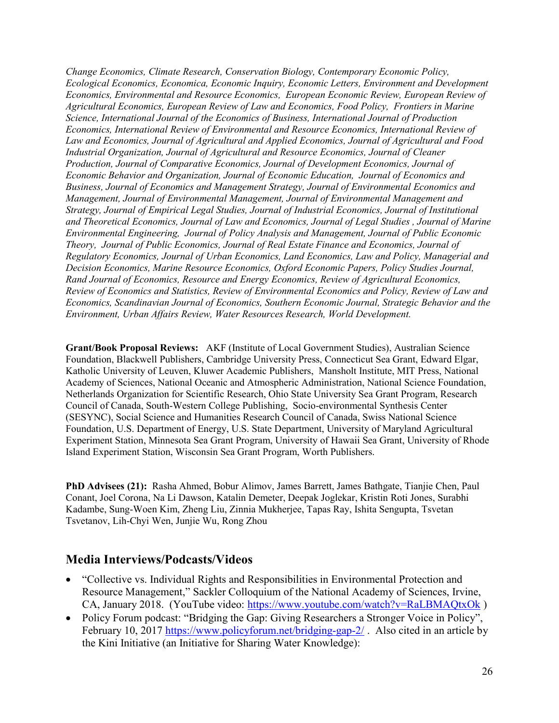Change Economics, Climate Research, Conservation Biology, Contemporary Economic Policy, Ecological Economics, Economica, Economic Inquiry, Economic Letters, Environment and Development Economics, Environmental and Resource Economics, European Economic Review, European Review of Agricultural Economics, European Review of Law and Economics, Food Policy, Frontiers in Marine Science, International Journal of the Economics of Business, International Journal of Production Economics, International Review of Environmental and Resource Economics, International Review of Law and Economics, Journal of Agricultural and Applied Economics, Journal of Agricultural and Food Industrial Organization, Journal of Agricultural and Resource Economics, Journal of Cleaner Production, Journal of Comparative Economics, Journal of Development Economics, Journal of Economic Behavior and Organization, Journal of Economic Education, Journal of Economics and Business, Journal of Economics and Management Strategy, Journal of Environmental Economics and Management, Journal of Environmental Management, Journal of Environmental Management and Strategy, Journal of Empirical Legal Studies, Journal of Industrial Economics, Journal of Institutional and Theoretical Economics, Journal of Law and Economics, Journal of Legal Studies , Journal of Marine Environmental Engineering, Journal of Policy Analysis and Management, Journal of Public Economic Theory, Journal of Public Economics, Journal of Real Estate Finance and Economics, Journal of Regulatory Economics, Journal of Urban Economics, Land Economics, Law and Policy, Managerial and Decision Economics, Marine Resource Economics, Oxford Economic Papers, Policy Studies Journal, Rand Journal of Economics, Resource and Energy Economics, Review of Agricultural Economics, Review of Economics and Statistics, Review of Environmental Economics and Policy, Review of Law and Economics, Scandinavian Journal of Economics, Southern Economic Journal, Strategic Behavior and the Environment, Urban Affairs Review, Water Resources Research, World Development.

Grant/Book Proposal Reviews: AKF (Institute of Local Government Studies), Australian Science Foundation, Blackwell Publishers, Cambridge University Press, Connecticut Sea Grant, Edward Elgar, Katholic University of Leuven, Kluwer Academic Publishers, Mansholt Institute, MIT Press, National Academy of Sciences, National Oceanic and Atmospheric Administration, National Science Foundation, Netherlands Organization for Scientific Research, Ohio State University Sea Grant Program, Research Council of Canada, South-Western College Publishing, Socio-environmental Synthesis Center (SESYNC), Social Science and Humanities Research Council of Canada, Swiss National Science Foundation, U.S. Department of Energy, U.S. State Department, University of Maryland Agricultural Experiment Station, Minnesota Sea Grant Program, University of Hawaii Sea Grant, University of Rhode Island Experiment Station, Wisconsin Sea Grant Program, Worth Publishers.

PhD Advisees (21): Rasha Ahmed, Bobur Alimov, James Barrett, James Bathgate, Tianjie Chen, Paul Conant, Joel Corona, Na Li Dawson, Katalin Demeter, Deepak Joglekar, Kristin Roti Jones, Surabhi Kadambe, Sung-Woen Kim, Zheng Liu, Zinnia Mukherjee, Tapas Ray, Ishita Sengupta, Tsvetan Tsvetanov, Lih-Chyi Wen, Junjie Wu, Rong Zhou

#### Media Interviews/Podcasts/Videos

- "Collective vs. Individual Rights and Responsibilities in Environmental Protection and Resource Management," Sackler Colloquium of the National Academy of Sciences, Irvine, CA, January 2018. (YouTube video: https://www.youtube.com/watch?v=RaLBMAQtxOk )
- Policy Forum podcast: "Bridging the Gap: Giving Researchers a Stronger Voice in Policy", February 10, 2017 https://www.policyforum.net/bridging-gap-2/. Also cited in an article by the Kini Initiative (an Initiative for Sharing Water Knowledge):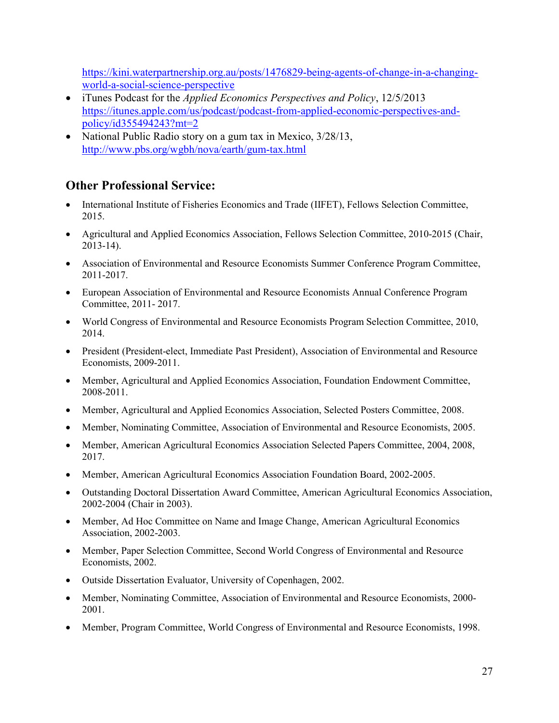https://kini.waterpartnership.org.au/posts/1476829-being-agents-of-change-in-a-changingworld-a-social-science-perspective

- iTunes Podcast for the *Applied Economics Perspectives and Policy*, 12/5/2013 https://itunes.apple.com/us/podcast/podcast-from-applied-economic-perspectives-andpolicy/id355494243?mt=2
- National Public Radio story on a gum tax in Mexico, 3/28/13, http://www.pbs.org/wgbh/nova/earth/gum-tax.html

# Other Professional Service:

- International Institute of Fisheries Economics and Trade (IIFET), Fellows Selection Committee, 2015.
- Agricultural and Applied Economics Association, Fellows Selection Committee, 2010-2015 (Chair, 2013-14).
- Association of Environmental and Resource Economists Summer Conference Program Committee, 2011-2017.
- European Association of Environmental and Resource Economists Annual Conference Program Committee, 2011- 2017.
- World Congress of Environmental and Resource Economists Program Selection Committee, 2010, 2014.
- President (President-elect, Immediate Past President), Association of Environmental and Resource Economists, 2009-2011.
- Member, Agricultural and Applied Economics Association, Foundation Endowment Committee, 2008-2011.
- Member, Agricultural and Applied Economics Association, Selected Posters Committee, 2008.
- Member, Nominating Committee, Association of Environmental and Resource Economists, 2005.
- Member, American Agricultural Economics Association Selected Papers Committee, 2004, 2008, 2017.
- Member, American Agricultural Economics Association Foundation Board, 2002-2005.
- Outstanding Doctoral Dissertation Award Committee, American Agricultural Economics Association, 2002-2004 (Chair in 2003).
- Member, Ad Hoc Committee on Name and Image Change, American Agricultural Economics Association, 2002-2003.
- Member, Paper Selection Committee, Second World Congress of Environmental and Resource Economists, 2002.
- Outside Dissertation Evaluator, University of Copenhagen, 2002.
- Member, Nominating Committee, Association of Environmental and Resource Economists, 2000- 2001.
- Member, Program Committee, World Congress of Environmental and Resource Economists, 1998.